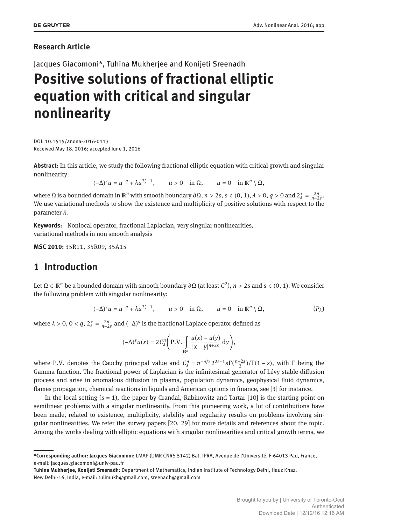### **Research Article**

Jacques Giacomoni\*, Tuhina Mukherjee and Konijeti Sreenadh

# **Positive solutions of fractional elliptic equation with critical and singular nonlinearity**

DOI: 10.1515/anona-2016-0113 Received May 18, 2016; accepted June 1, 2016

**Abstract:** In this article, we study the following fractional elliptic equation with critical growth and singular nonlinearity:

 $(u - \Delta)^s u = u^{-q} + \lambda u^{2_s^* - 1}, \quad u > 0 \quad \text{in } \Omega, \quad u = 0 \quad \text{in } \mathbb{R}^n \setminus \Omega,$ 

where Ω is a bounded domain in ℝ<sup>n</sup> with smooth boundary ∂Ω, *n* > 2*s*, *s* ∈ (0, 1),  $\lambda$  > 0, *q* > 0 and 2<sup>\*</sup><sub>*s*</sub> =  $\frac{2n}{n-2s}$ . We use variational methods to show the existence and multiplicity of positive solutions with respect to the parameter *λ*.

**Keywords:** Nonlocal operator, fractional Laplacian, very singular nonlinearities, variational methods in non smooth analysis

**MSC 2010:** 35R11, 35R09, 35A15

### **1 Introduction**

Let Ω ⊂ ℝ*<sup>n</sup>* be a bounded domain with smooth boundary *∂*Ω (at least *C* 2 ), *n* > 2*s* and *s* ∈ (0, 1). We consider the following problem with singular nonlinearity:

$$
(-\Delta)^s u = u^{-q} + \lambda u^{2_s^*-1}, \qquad u > 0 \quad \text{in } \Omega, \qquad u = 0 \quad \text{in } \mathbb{R}^n \setminus \Omega, \tag{P_\lambda}
$$

where  $\lambda > 0$ ,  $0 < q$ ,  $2_s^* = \frac{2n}{n-2s}$  and  $(-\Delta)^s$  is the fractional Laplace operator defined as

$$
(-\Delta)^s u(x) = 2C_s^n \left(P.V.\int\limits_{\mathbb{R}^n}\frac{u(x)-u(y)}{|x-y|^{n+2s}}\,dy\right),\,
$$

where P.V. denotes the Cauchy principal value and  $C_s^n = \pi^{-n/2} 2^{2s-1} s \Gamma(\frac{n+2s}{2})/\Gamma(1-s)$ , with Γ being the Gamma function. The fractional power of Laplacian is the infinitesimal generator of Lévy stable diffusion process and arise in anomalous diffusion in plasma, population dynamics, geophysical fluid dynamics, flames propagation, chemical reactions in liquids and American options in finance, see [3] for instance.

In the local setting (*s* = 1), the paper by Crandal, Rabinowitz and Tartar [10] is the starting point on semilinear problems with a singular nonlinearity. From this pioneering work, a lot of contributions have been made, related to existence, multiplicity, stability and regularity results on problems involving singular nonlinearities. We refer the survey papers [20, 29] for more details and references about the topic. Among the works dealing with elliptic equations with singular nonlinearities and critical growth terms, we

**<sup>\*</sup>Corresponding author: Jacques Giacomoni:** LMAP (UMR CNRS 5142) Bat. IPRA, Avenue de l'Université, F-64013 Pau, France, e-mail: jacques.giacomoni@univ-pau.fr

**Tuhina Mukherjee, Konijeti Sreenadh:** Department of Mathematics, Indian Institute of Technology Delhi, Hauz Khaz, New Delhi-16, India, e-mail: tulimukh@gmail.com, sreenadh@gmail.com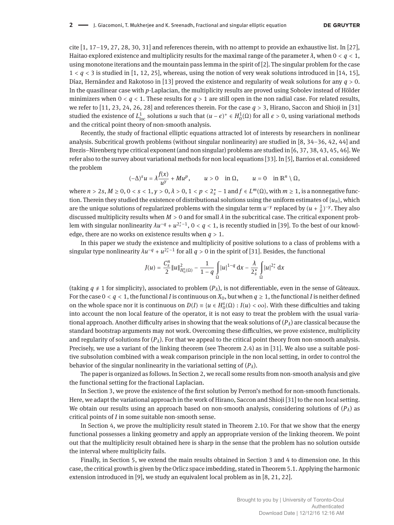cite  $[1, 17-19, 27, 28, 30, 31]$  and references therein, with no attempt to provide an exhaustive list. In  $[27]$ , Haitao explored existence and multiplicity results for the maximal range of the parameter  $\lambda$ , when  $0 < q < 1$ , using monotone iterations and the mountain pass lemma in the spirit of [2]. The singular problem for the case  $1 < q < 3$  is studied in [1, 12, 25], whereas, using the notion of very weak solutions introduced in [14, 15], Díaz, Hernández and Rakotoso in [13] proved the existence and regularity of weak solutions for any *q* > 0. In the quasilinear case with *p*-Laplacian, the multiplicity results are proved using Sobolev instead of Hölder minimizers when  $0 < q < 1$ . These results for  $q > 1$  are still open in the non radial case. For related results, we refer to [11, 23, 24, 26, 28] and references therein. For the case  $q > 3$ , Hirano, Saccon and Shioji in [31] studied the existence of  $L^1_{loc}$  solutions *u* such that  $(u-\epsilon)^+ \in H^1_0(\Omega)$  for all  $\epsilon > 0$ , using variational methods and the critical point theory of non-smooth analysis.

Recently, the study of fractional elliptic equations attracted lot of interests by researchers in nonlinear analysis. Subcritical growth problems (without singular nonlinearity) are studied in  $[8, 34-36, 42, 44]$  and Brezis–Nirenberg type critical exponent (and non singular) problems are studied in  $[6, 37, 38, 43, 45, 46]$ . We refer also to the survey about variational methods for non local equations [33]. In [5], Barrios et al. considered the problem

$$
(-\Delta)^s u = \lambda \frac{f(x)}{u^{\gamma}} + M u^p, \qquad u > 0 \quad \text{in } \Omega, \qquad u = 0 \quad \text{in } \mathbb{R}^n \setminus \Omega,
$$

where  $n > 2s$ ,  $M \ge 0$ ,  $0 < s < 1$ ,  $\gamma > 0$ ,  $\lambda > 0$ ,  $1 < p < 2_s^* - 1$  and  $f \in L^m(\Omega)$ , with  $m \ge 1$ , is a nonnegative function. Therein they studied the existence of distributional solutions using the uniform estimates of  $\{u_n\}$ , which are the unique solutions of regularized problems with the singular term  $u^{-\gamma}$  replaced by  $(u + \frac{1}{n})^{-\gamma}$ . They also discussed multiplicity results when  $M > 0$  and for small  $\lambda$  in the subcritical case. The critical exponent problem with singular nonlinearity  $\lambda u^{-q}+u^{2_s^*-1}$ ,  $0 < q < 1$ , is recently studied in [39]. To the best of our knowledge, there are no works on existence results when  $q > 1$ .

In this paper we study the existence and multiplicity of positive solutions to a class of problems with a singular type nonlinearity  $\lambda u^{-q} + u^{2_s^* - 1}$  for all  $q > 0$  in the spirit of [31]. Besides, the functional

$$
J(u)=\frac{C_s^{n}}{2}\|u\|_{H_0^s(\Omega)}^2-\frac{1}{1-q}\int\limits_{\Omega}|u|^{1-q}\,{\rm d} x-\frac{\lambda}{2_s^*}\int\limits_{\Omega}|u|^{2_s^*}\,{\rm d} x
$$

(taking  $q \neq 1$  for simplicity), associated to problem  $(P_\lambda)$ , is not differentiable, even in the sense of Gâteaux. For the case  $0 < q < 1$ , the functional *I* is continuous on  $X_0$ , but when  $q \ge 1$ , the functional *I* is neither defined on the whole space nor it is continuous on  $D(I) = \{u \in H_0^s(\Omega) : I(u) < \infty\}$ . With these difficulties and taking into account the non local feature of the operator, it is not easy to treat the problem with the usual variational approach. Another difficulty arises in showing that the weak solutions of (*Pλ*) are classical because the standard bootstrap arguments may not work. Overcoming these difficulties, we prove existence, multiplicity and regularity of solutions for  $(P_\lambda)$ . For that we appeal to the critical point theory from non-smooth analysis. Precisely, we use a variant of the linking theorem (see Theorem 2.4) as in [31]. We also use a suitable positive subsolution combined with a weak comparison principle in the non local setting, in order to control the behavior of the singular nonlinearity in the variational setting of  $(P_{\lambda})$ .

The paper is organized as follows. In Section 2, we recall some results from non-smooth analysis and give the functional setting for the fractional Laplacian.

In Section 3, we prove the existence of the first solution by Perron's method for non-smooth functionals. Here, we adapt the variational approach in the work of Hirano, Saccon and Shioji [31] to the non local setting. We obtain our results using an approach based on non-smooth analysis, considering solutions of  $(P_\lambda)$  as critical points of *I* in some suitable non-smooth sense.

In Section 4, we prove the multiplicity result stated in Theorem 2.10. For that we show that the energy functional possesses a linking geometry and apply an appropriate version of the linking theorem. We point out that the multiplicity result obtained here is sharp in the sense that the problem has no solution outside the interval where multiplicity fails.

Finally, in Section 5, we extend the main results obtained in Section 3 and 4 to dimension one. In this case, the critical growth is given by the Orlicz space imbedding, stated in Theorem 5.1. Applying the harmonic extension introduced in [9], we study an equivalent local problem as in [8, 21, 22].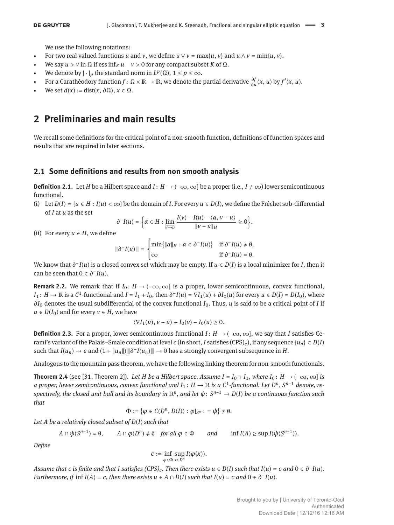We use the following notations:

- For two real valued functions *u* and *v*, we define  $u \lor v = \max\{u, v\}$  and  $u \land v = \min\{u, v\}$ .
- We say  $u > v$  in  $\Omega$  if ess inf<sub>K</sub>  $u v > 0$  for any compact subset K of  $\Omega$ .
- We denote by  $|\cdot|_p$  the standard norm in  $L^p(\Omega)$ ,  $1 \le p \le \infty$ .
- $\bullet$  For a Carathéodory function *f* : Ω × ℝ → ℝ, we denote the partial derivative  $\frac{\partial f}{\partial u}(x, u)$  by  $f'(x, u)$ .
- $We set d(x) := dist(x, ∂Ω)$ ,  $x ∈ Ω$ .

### **2 Preliminaries and main results**

We recall some definitions for the critical point of a non-smooth function, definitions of function spaces and results that are required in later sections.

#### **2.1 Some deőnitions and results from non smooth analysis**

**Definition 2.1.** Let *H* be a Hilbert space and *I*: *H* → (−∞, ∞) be a proper (i.e., *I*  $\neq \infty$ ) lower semicontinuous functional.

(i) Let  $D(I) = \{u \in H : I(u) < \infty\}$  be the domain of *I*. For every  $u \in D(I)$ , we define the Fréchet sub-differential of *I* at *u* as the set

$$
\partial^{-} I(u) = \left\{ \alpha \in H : \lim_{v \to u} \frac{I(v) - I(u) - \langle \alpha, v - u \rangle}{\|v - u\|_{H}} \ge 0 \right\}.
$$

(ii) For every  $u \in H$ , we define

$$
\|\partial^{-}I(u)\| = \begin{cases} \min\{\|\alpha\|_{H} : \alpha \in \partial^{-}I(u)\} & \text{if } \partial^{-}I(u) \neq \emptyset, \\ \infty & \text{if } \partial^{-}I(u) = \emptyset. \end{cases}
$$

*We know that*  $\partial$ *<sup>-</sup>I*(*u*) is a closed convex set which may be empty. If *u* ∈ *D*(*I*) is a local minimizer for *I*, then it can be seen that  $0 \in \partial^{-}I(u)$ .

**Remark 2.2.** We remark that if  $I_0: H \to (-\infty, \infty]$  is a proper, lower semicontinuous, convex functional,  $I_1: H \to \mathbb{R}$  is a  $C^1$ -functional and  $I = I_1 + I_0$ , then  $\partial^- I(u) = \nabla I_1(u) + \partial I_0(u)$  for every  $u \in D(I) = D(I_0)$ , where *∂I*<sup>0</sup> denotes the usual subdifferential of the convex functional *I*0. Thus, *u* is said to be a critical point of *I* if *u* ∈ *D*(*I*<sub>0</sub>) and for every *v* ∈ *H*, we have

$$
\langle \nabla I_1(u), v - u \rangle + I_0(v) - I_0(u) \ge 0.
$$

**Definition 2.3.** For a proper, lower semicontinuous functional  $I: H \to (-\infty, \infty]$ , we say that *I* satisfies Cerami's variant of the Palais–Smale condition at level *c* (in short, *I* satisfies (CPS)<sub>c</sub>), if any sequence { $u_n$ }  $\subset$  *D*(*I*) such that  $I(u_n) \to c$  and  $(1 + ||u_n||) \|\|\partial^{-1}(u_n)\| \to 0$  has a strongly convergent subsequence in *H*.

Analogous to the mountain pass theorem, we have the following linking theorem for non-smooth functionals.

**Theorem 2.4** (see [31, Theorem 2]). Let H be a Hilbert space. Assume  $I = I_0 + I_1$ , where  $I_0: H \to (-\infty, \infty]$  is *a proper, lower semicontinuous, convex functional and I*<sup>1</sup> : *H* → ℝ *is a C*<sup>1</sup> *-functional. Let D<sup>n</sup>* , *S <sup>n</sup>*−<sup>1</sup> *denote, respectively, the closed unit ball and its boundary in* ℝ*<sup>n</sup> , and let ψ*: *S <sup>n</sup>*−<sup>1</sup> → *D*(*I*) *be a continuous function such that*

$$
\Phi:=\{\varphi\in C(D^n,D(I)):\varphi|_{S^{n-1}}=\psi\}\neq\emptyset.
$$

*Let A be a relatively closed subset of D*(*I*) *such that*

 $A \cap \psi(S^{n-1}) = \emptyset$ ,  $A \cap \phi(D^n) \neq \emptyset$  for all  $\phi \in \Phi$  and  $\inf I(A) \geq \sup I(\psi(S^{n-1}))$ .

*Deőne*

$$
c := \inf_{\varphi \in \Phi} \sup_{x \in D^n} I(\varphi(x)).
$$

*Assume that c is finite and that I satisfies (CPS)<sub>c</sub>. Then there exists*  $u \in D(I)$  *such that*  $I(u) = c$  *and*  $0 \in \partial^{-1}(u)$ *. Furthermore, if*  $\inf I(A) = c$ *, then there exists*  $u \in A \cap D(I)$  *such that*  $I(u) = c$  *and*  $0 \in \partial^{-1}(u)$ *.*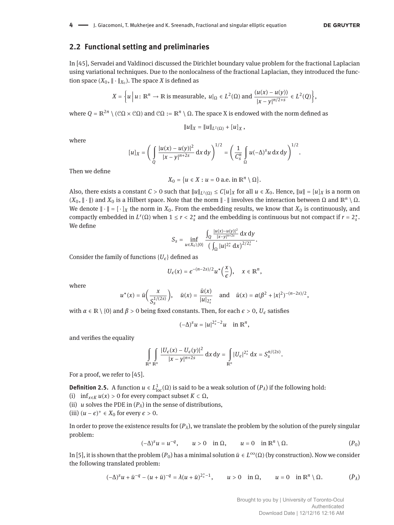#### **2.2 Functional setting and preliminaries**

In [45], Servadei and Valdinoci discussed the Dirichlet boundary value problem for the fractional Laplacian using variational techniques. Due to the nonlocalness of the fractional Laplacian, they introduced the function space  $(X_0, \|\cdot\|_{X_0})$ . The space *X* is defined as

$$
X = \left\{ u \mid u \colon \mathbb{R}^n \to \mathbb{R} \text{ is measurable, } u|_{\Omega} \in L^2(\Omega) \text{ and } \frac{(u(x) - u(y))}{|x - y|^{n/2+s}} \in L^2(Q) \right\},
$$

where  $Q = \mathbb{R}^{2n} \setminus (\mathbb{C}\Omega \times \mathbb{C}\Omega)$  and  $\mathbb{C}\Omega := \mathbb{R}^n \setminus \Omega$ . The space X is endowed with the norm defined as

$$
||u||_X = ||u||_{L^2(\Omega)} + [u]_X,
$$

where

$$
[u]_X = \left(\int_{Q} \frac{|u(x) - u(y)|^2}{|x - y|^{n+2s}} dx dy\right)^{1/2} = \left(\frac{1}{C_s^n} \int_{\Omega} u(-\Delta)^s u dx dy\right)^{1/2}.
$$

Then we define

$$
X_0 = \{u \in X : u = 0 \text{ a.e. in } \mathbb{R}^n \setminus \Omega\}.
$$

Also, there exists a constant  $C > 0$  such that  $||u||_{L^2(\Omega)} \leq C[u]_X$  for all  $u \in X_0$ . Hence,  $||u|| = [u]_X$  is a norm on (*X*<sub>0</sub>,  $\|\cdot\|$ ) and *X*<sub>0</sub> is a Hilbert space. Note that the norm  $\|\cdot\|$  involves the interaction between Ω and  $\mathbb{R}^n \setminus \Omega$ . We denote  $\|\cdot\| = [\cdot]_X$  the norm in  $X_0$ . From the embedding results, we know that  $X_0$  is continuously, and compactly embedded in *L<sup>r</sup>*(Ω) when 1 ≤ *r* < 2<sup>*\**</sup><sub>*s*</sub> and the embedding is continuous but not compact if *r* = 2<sup>*\**</sup><sub>*s*</sub>. We define

$$
S_{s} = \inf_{u \in X_{0}\setminus\{0\}} \frac{\int_{Q} \frac{|u(x)-u(y)|^{2}}{|x-y|^{n+2s}} dx dy}{\left(\int_{\Omega} |u|^{2^{*}_{s}} dx\right)^{2/2^{*}_{s}}}.
$$

Consider the family of functions  ${U_{\epsilon}}$  defined as

$$
U_{\epsilon}(x) = \epsilon^{-(n-2s)/2} u^* \left(\frac{x}{\epsilon}\right), \quad x \in \mathbb{R}^n,
$$

where

$$
u^*(x) = \bar{u}\left(\frac{x}{S_s^{1/(2s)}}\right)
$$
,  $\bar{u}(x) = \frac{\tilde{u}(x)}{|u|_{2_s^*}}$  and  $\tilde{u}(x) = \alpha(\beta^2 + |x|^2)^{-(n-2s)/2}$ ,

with *α*  $\in$  R \ {0} and *β* > 0 being fixed constants. Then, for each *ε* > 0, *U<sub><i>ε*</sub> satisfies</sub>

$$
(-\Delta)^s u = |u|^{2_s^*-2}u \quad \text{in } \mathbb{R}^n,
$$

and verifies the equality

$$
\int_{\mathbb{R}^n} \int_{\mathbb{R}^n} \frac{|U_{\epsilon}(x) - U_{\epsilon}(y)|^2}{|x - y|^{n+2s}} dx dy = \int_{\mathbb{R}^n} |U_{\epsilon}|^{2_s^*} dx = S_s^{n/(2s)}.
$$

For a proof, we refer to [45].

**Definition 2.5.** A function  $u \in L^1_{loc}(\Omega)$  is said to be a weak solution of  $(P_\lambda)$  if the following hold:

- (i)  $\inf_{x \in K} u(x) > 0$  for every compact subset  $K \subset \Omega$ ,
- (ii) *u* solves the PDE in  $(P_\lambda)$  in the sense of distributions,
- (iii)  $(u − \epsilon)^+$  ∈  $X_0$  for every  $\epsilon > 0$ .

In order to prove the existence results for  $(P_\lambda)$ , we translate the problem by the solution of the purely singular problem:

$$
(-\Delta)^s u = u^{-q}, \qquad u > 0 \quad \text{in } \Omega, \qquad u = 0 \quad \text{in } \mathbb{R}^n \setminus \Omega. \tag{P_0}
$$

In [5], it is shown that the problem  $(P_0)$  has a minimal solution  $\bar{u} \in L^\infty(\Omega)$  (by construction). Now we consider the following translated problem:

$$
(-\Delta)^s u + \bar{u}^{-q} - (u+\bar{u})^{-q} = \lambda (u+\bar{u})^{2_s^*-1}, \qquad u > 0 \quad \text{in} \ \Omega, \qquad u = 0 \quad \text{in} \ \mathbb{R}^n \setminus \Omega. \tag{$\bar{P}_\lambda$}
$$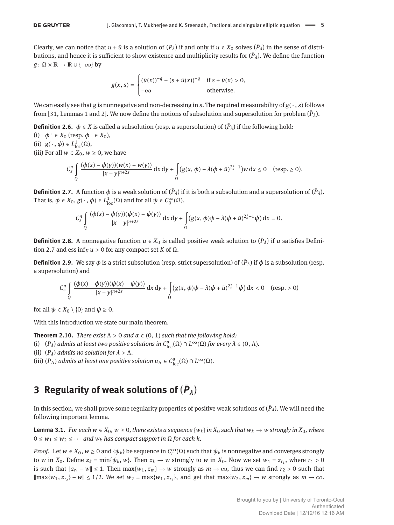Clearly, we can notice that  $u + \bar{u}$  is a solution of  $(P_\lambda)$  if and only if  $u \in X_0$  solves  $(\bar{P}_\lambda)$  in the sense of distributions, and hence it is sufficient to show existence and multiplicity results for  $(\bar{P}_\lambda).$  We define the function  $g: \Omega \times \mathbb{R} \to \mathbb{R} \cup \{-\infty\}$  by

$$
g(x, s) = \begin{cases} (\bar{u}(x))^{-q} - (s + \bar{u}(x))^{-q} & \text{if } s + \bar{u}(x) > 0, \\ -\infty & \text{otherwise.} \end{cases}
$$

We can easily see that *g* is nonnegative and non-decreasing in *s*. The required measurability of *g*( ⋅ , *s*) follows from [31, Lemmas 1 and 2]. We now define the notions of subsolution and supersolution for problem ( $\bar{P}_{\lambda}$ ).

**Definition 2.6.**  $\phi \in X$  is called a subsolution (resp. a supersolution) of  $(\bar{P}_{\lambda})$  if the following hold:

(i)  $\phi^+ \in X_0$  (resp.  $\phi^- \in X_0$ ),

(ii) 
$$
g(\cdot, \phi) \in L^1_{loc}(\Omega)
$$
,

(iii) For all  $w \in X_0$ ,  $w \ge 0$ , we have

$$
C_S^n\int\limits_{Q}\frac{(\phi(x)-\phi(y))(w(x)-w(y))}{|x-y|^{n+2s}}\,dx\,dy+\int\limits_{\Omega}(g(x,\phi)-\lambda(\phi+\bar{u})^{2_s^*-1})w\,dx\leq 0 \quad \text{(resp.}\geq 0).
$$

**Definition 2.7.** A function  $\phi$  is a weak solution of  $(\bar{P}_\lambda)$  if it is both a subsolution and a supersolution of  $(\bar{P}_\lambda)$ . That is,  $\phi \in X_0$ ,  $g(\cdot, \phi) \in L^1_{loc}(\Omega)$  and for all  $\psi \in C_0^{\infty}(\Omega)$ ,

$$
C_S^n\int\limits_Q\frac{(\phi(x)-\phi(y))(\psi(x)-\psi(y))}{|x-y|^{n+2s}}\,dx\,dy+\int\limits_\Omega\big(g(x,\phi)\psi-\lambda(\phi+\bar{u})^{2_s^*-1}\psi\big)\,dx=0.
$$

**Definition 2.8.** A nonnegative function  $u \in X_0$  is called positive weak solution to  $(\bar{P}_\lambda)$  if *u* satisfies Definition 2.7 and ess inf<sub>*K*</sub>  $u > 0$  for any compact set *K* of  $\Omega$ .

**Definition 2.9.** We say  $\phi$  is a strict subsolution (resp. strict supersolution) of  $(\bar{P}_\lambda)$  if  $\phi$  is a subsolution (resp. a supersolution) and

$$
C_S^n \int\limits_{Q} \frac{(\phi(x) - \phi(y))(\psi(x) - \psi(y))}{|x - y|^{n+2s}} dx dy + \int\limits_{\Omega} (g(x, \phi)\psi - \lambda(\phi + \bar{u})^{2_s^* - 1}\psi) dx < 0 \quad \text{(resp.} > 0\text{)}
$$

for all  $\psi \in X_0 \setminus \{0\}$  and  $\psi \geq 0$ .

With this introduction we state our main theorem.

**Theorem 2.10.** *There exist*  $\Lambda > 0$  *and*  $\alpha \in (0, 1)$  *such that the following hold:* 

- (i)  $(P_\lambda)$  *admits at least two positive solutions in*  $C^{\alpha}_{loc}(\Omega) \cap L^{\infty}(\Omega)$  *for every*  $\lambda \in (0, \Lambda)$ *.*
- (ii)  $(P_\lambda)$  *admits no solution for*  $\lambda > \Lambda$ .
- (iii)  $(P_\Lambda)$  *admits at least one positive solution*  $u_\Lambda \in C^\alpha_{loc}(\Omega) \cap L^\infty(\Omega)$ *.*

# **3 Regularity of weak solutions of** (*P***̄** *λ*)

In this section, we shall prove some regularity properties of positive weak solutions of (*P*̄ *<sup>λ</sup>*). We will need the following important lemma.

**Lemma 3.1.** *For each*  $w \in X_0$ ,  $w \ge 0$ , there exists a sequence { $w_k$ } in  $X_0$  such that  $w_k \to w$  strongly in  $X_0$ , where  $0 \leq w_1 \leq w_2 \leq \cdots$  *and*  $w_k$  *has compact support in*  $\Omega$  *for each k.* 

*Proof.* Let  $w \in X_0$ ,  $w \ge 0$  and  $\{\psi_k\}$  be sequence in  $C_c^{\infty}(\Omega)$  such that  $\psi_k$  is nonnegative and converges strongly to *w* in  $X_0$ . Define  $z_k = \min\{\psi_k, w\}$ . Then  $z_k \to w$  strongly to *w* in  $X_0$ . Now we set  $w_1 = z_{r_1}$ , where  $r_1 > 0$ is such that  $||z_{r_1} - w|| \le 1$ . Then max{*w*<sub>1</sub>, *z<sub>m</sub>*} → *w* strongly as  $m \to \infty$ , thus we can find  $r_2 > 0$  such that  $\|\max\{w_1, z_{r_2}\} - w\| \leq 1/2$ . We set  $w_2 = \max\{w_1, z_{r_2}\}$ , and get that  $\max\{w_2, z_m\} \to w$  strongly as  $m \to \infty$ .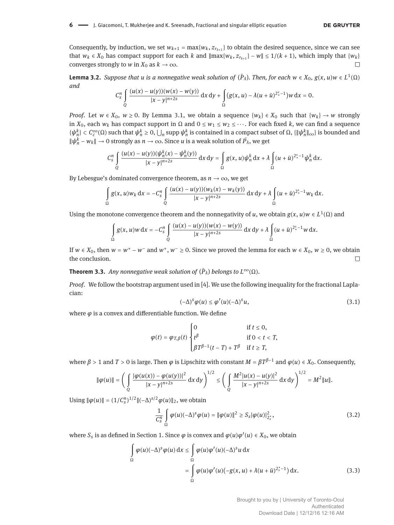Consequently, by induction, we set  $w_{k+1} = \max\{w_k, z_{r_{k+1}}\}$  to obtain the desired sequence, since we can see that  $w_k \in X_0$  has compact support for each  $k$  and  $\|\max\{w_k, z_{r_{k+1}}\} - w\| \leq 1/(k+1)$ , which imply that  $\{w_k\}$ converges strongly to *w* in  $X_0$  as  $k \to \infty$ .

**Lemma 3.2.** *Suppose that u is a nonnegative weak solution of*  $(\bar{P}_{\lambda})$ *. Then, for each*  $w \in X_0$ *,*  $g(x, u)w \in L^1(\Omega)$ *and*

$$
C_{s}^{n} \int_{Q} \frac{(u(x) - u(y))(w(x) - w(y))}{|x - y|^{n+2s}} dx dy + \int_{\Omega} (g(x, u) - \lambda(u + \bar{u})^{2^{s}_{*} - 1}) w dx = 0.
$$

*Proof.* Let  $w \in X_0$ ,  $w \ge 0$ . By Lemma 3.1, we obtain a sequence  $\{w_k\} \in X_0$  such that  $\{w_k\} \to w$  strongly in  $X_0$ , each  $w_k$  has compact support in  $\Omega$  and  $0 \leq w_1 \leq w_2 \leq \cdots$ . For each fixed *k*, we can find a sequence  $\{\psi_n^k\}\subset C_c^{\infty}(\Omega)$  such that  $\psi_n^k\geq 0$ ,  $\bigcup_n$  supp  $\psi_n^k$  is contained in a compact subset of  $\Omega$ ,  $\{\|\psi_n^k\|_{\infty}\}$  is bounded and  $\|\psi_n^k - w_k\| \to 0$  strongly as  $n \to \infty$ . Since  $u$  is a weak solution of  $\bar{P_\lambda}$ , we get

$$
C_s^n\int\limits_Q \frac{(u(x)-u(y))( \psi_n^k(x)-\psi_n^k(y))}{|x-y|^{n+2s}}\, \mathrm{d} x\, \mathrm{d} y=\int\limits_\Omega g(x,u)\psi_n^k\, \mathrm{d} x+\lambda\int\limits_\Omega (u+\bar{u})^{2^s_*-1}\psi_n^k\, \mathrm{d} x.
$$

By Lebesgue's dominated convergence theorem, as  $n \to \infty$ , we get

$$
\int_{\Omega} g(x, u) w_k dx = -C_s^n \int_{Q} \frac{(u(x) - u(y))(w_k(x) - w_k(y))}{|x - y|^{n+2s}} dx dy + \lambda \int_{\Omega} (u + \bar{u})^{2^s_* - 1} w_k dx.
$$

Using the monotone convergence theorem and the nonnegativity of *u*, we obtain  $g(x, u)w \in L^1(\Omega)$  and

$$
\int_{\Omega} g(x, u)w \, dx = -C_s^n \int_{\Omega} \frac{(u(x) - u(y))(w(x) - w(y))}{|x - y|^{n+2s}} \, dx \, dy + \lambda \int_{\Omega} (u + \bar{u})^{2^s_* - 1} w \, dx.
$$

If  $w \in X_0$ , then  $w = w^+ - w^-$  and  $w^+$ ,  $w^- \ge 0$ . Since we proved the lemma for each  $w \in X_0$ ,  $w \ge 0$ , we obtain the conclusion.  $\Box$ 

**Theorem 3.3.** *Any nonnegative weak solution of*  $(\bar{P}_{\lambda})$  *belongs to*  $L^{\infty}(\Omega)$ *.* 

*Proof.* We follow the bootstrap argument used in [4]. We use the following inequality for the fractional Laplacian:

$$
(-\Delta)^{s}\varphi(u) \leq \varphi'(u)(-\Delta)^{s}u, \qquad (3.1)
$$

where  $\varphi$  is a convex and differentiable function. We define

$$
\varphi(t) = \varphi_{T,\beta}(t) \begin{cases} 0 & \text{if } t \leq 0, \\ t^{\beta} & \text{if } 0 < t < T, \\ \beta T^{\beta-1}(t-T) + T^{\beta} & \text{if } t \geq T, \end{cases}
$$

where  $\beta > 1$  and  $T > 0$  is large. Then  $\varphi$  is Lipschitz with constant  $M = \beta T^{\beta-1}$  and  $\varphi(u) \in X_0$ . Consequently,

$$
\|\varphi(u)\| = \left(\int\limits_{Q} \frac{|\varphi(u(x)) - \varphi(u(y))|^2}{|x - y|^{n+2s}} \, \mathrm{d}x \, \mathrm{d}y\right)^{1/2} \le \left(\int\limits_{Q} \frac{M^2|u(x) - u(y)|^2}{|x - y|^{n+2s}} \, \mathrm{d}x \, \mathrm{d}y\right)^{1/2} = M^2 \|u\|.
$$

Using  $\|\varphi(u)\| = (1/C_s^n)^{1/2} \|(-\Delta)^{s/2} \varphi(u)\|_2$ , we obtain

$$
\frac{1}{C_S^n} \int\limits_{\Omega} \varphi(u)(-\Delta)^s \varphi(u) = \|\varphi(u)\|^2 \ge S_S |\varphi(u)|^2_{2^*_s},\tag{3.2}
$$

where  $S_s$  is as defined in Section 1. Since  $\varphi$  is convex and  $\varphi(u)\varphi'(u) \in X_0$ , we obtain

$$
\int_{\Omega} \varphi(u)(-\Delta)^s \varphi(u) dx \le \int_{\Omega} \varphi(u)\varphi'(u)(-\Delta)^s u dx
$$
  
= 
$$
\int_{\Omega} \varphi(u)\varphi'(u)(-g(x,u) + \lambda(u+\bar{u})^{2_s^*-1}) dx.
$$
 (3.3)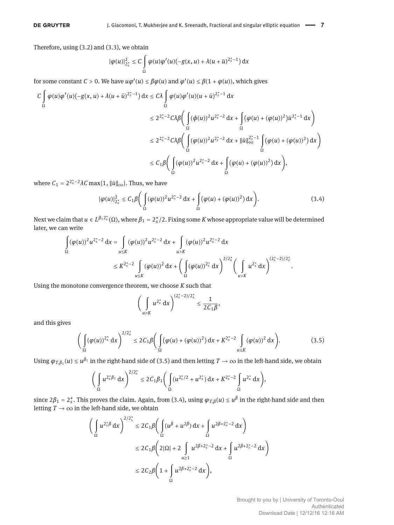Therefore, using (3.2) and (3.3), we obtain

$$
|\varphi(u)|_{2_s^*}^2 \leq C \int\limits_{\Omega} \varphi(u) \varphi'(u) \bigl(-g(x,u)+\lambda (u+\bar u)^{2_s^*-1}\bigr) \, \mathrm{d} x
$$

for some constant *C* > 0. We have  $u\varphi'(u) \leq \beta \varphi(u)$  and  $\varphi'(u) \leq \beta(1 + \varphi(u))$ , which gives

$$
\begin{aligned} C\int\limits_{\Omega}\varphi(u)\varphi'(u)(-g(x,u)+\lambda(u+\bar{u})^{2_s^*-1})\,\mathrm{d}x&\le C\lambda\int\limits_{\Omega}\varphi(u)\varphi'(u)(u+\bar{u})^{2_s^*-1}\,\mathrm{d}x\\ &\le2^{2_s^*-2}C\lambda\beta\bigg(\int\limits_{\Omega}(\varphi(u))^2u^{2_s^*-2}\,\mathrm{d}x+\int\limits_{\Omega}(\varphi(u)+(\varphi(u))^2)\bar{u}^{2_s^*-1}\,\mathrm{d}x\bigg)\\ &\le2^{2_s^*-2}C\lambda\beta\bigg(\int\limits_{\Omega}(\varphi(u))^2u^{2_s^*-2}\,\mathrm{d}x+\|\bar{u}\|_\infty^{2_s^*-1}\int\limits_{\Omega}(\varphi(u)+(\varphi(u))^2)\,\mathrm{d}x\bigg)\\ &\le C_1\beta\bigg(\int\limits_{\Omega}(\varphi(u))^2u^{2_s^*-2}\,\mathrm{d}x+\int\limits_{\Omega}(\varphi(u)+(\varphi(u))^2)\,\mathrm{d}x\bigg), \end{aligned}
$$

where  $C_1 = 2^{2_s^* - 2} \lambda C \max\{1, ||\bar{u}||_{\infty}\}$ . Thus, we have

$$
|\varphi(u)|_{2_s^*}^2 \le C_1 \beta \Bigg( \int_{\Omega} (\varphi(u))^2 u^{2_s^* - 2} \, \mathrm{d}x + \int_{\Omega} (\varphi(u) + (\varphi(u))^2) \, \mathrm{d}x \Bigg). \tag{3.4}
$$

Next we claim that  $u \in L^{\beta_1 2^*_s}(\Omega)$ , where  $\beta_1 = 2^*_s/2$ . Fixing some *K* whose appropriate value will be determined later, we can write

$$
\begin{split} \int\limits_{\Omega} (\varphi(u))^2 u^{2_s^*-2} \,\mathrm{d}x &= \int\limits_{u\leq K} (\varphi(u))^2 u^{2_s^*-2} \,\mathrm{d}x + \int\limits_{u>K} (\varphi(u))^2 u^{2_s^*-2} \,\mathrm{d}x \\ & \leq K^{2_s^*-2} \int\limits_{u\leq K} (\varphi(u))^2 \,\mathrm{d}x + \Bigg( \int\limits_{\Omega} (\varphi(u))^{2_s^*} \,\mathrm{d}x \Bigg)^{2/2_s^*} \Bigg( \int\limits_{u>K} u^{2_s^*} \,\mathrm{d}x \Bigg)^{(2_s^*-2)/2_s^*}. \end{split}
$$

Using the monotone convergence theorem, we choose *K* such that

$$
\left(\int\limits_{u>K}u^{2_s^*}\,\mathrm{d} x\right)^{(2_s^*-2)/2_s^*}\leq \frac{1}{2C_1\beta},
$$

and this gives

$$
\left(\int_{\Omega} (\varphi(u))^{2_s^*} dx\right)^{2/2_s^*} \le 2C_1 \beta \left(\int_{\Omega} (\varphi(u) + (\varphi(u))^2) dx + K^{2_s^* - 2} \int_{u \le K} (\varphi(u))^2 dx\right).
$$
 (3.5)

Using  $\varphi_{T,\beta_1}(u)\leq u^{\beta_1}$  in the right-hand side of (3.5) and then letting  $T\to\infty$  in the left-hand side, we obtain

$$
\bigg(\int_{\Omega}u^{2_s^*\beta_1}\,dx\bigg)^{2/2_s^*}\leq 2C_1\beta_1\bigg(\int_{\Omega}(u^{2_s^*/2}+u^{2_s^*})\,dx+K^{2_s^*-2}\int_{\Omega}u^{2_s^*}\,dx\bigg),
$$

since  $2\beta_1 = 2_s^*$ . This proves the claim. Again, from (3.4), using  $\varphi_{T,\beta}(u) \le u^\beta$  in the right-hand side and then letting  $T \rightarrow \infty$  in the left-hand side, we obtain

$$
\left(\int_{\Omega} u^{2_{s}^{*}\beta} dx\right)^{2/2_{s}^{*}} \leq 2C_{1}\beta \left(\int_{\Omega} (u^{\beta} + u^{2\beta}) dx + \int_{\Omega} u^{2\beta + 2_{s}^{*} - 2} dx\right)
$$
  

$$
\leq 2C_{1}\beta \left(2|\Omega| + 2 \int_{u \geq 1} u^{2\beta + 2_{s}^{*} - 2} dx + \int_{\Omega} u^{2\beta + 2_{s}^{*} - 2} dx\right)
$$
  

$$
\leq 2C_{2}\beta \left(1 + \int_{\Omega} u^{2\beta + 2_{s}^{*} - 2} dx\right),
$$

Brought to you by | University of Toronto-Ocul Authenticated Download Date | 12/12/16 12:16 AM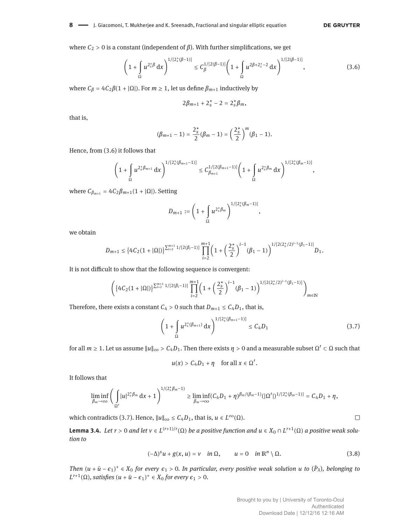**DE GRUYTER** 

where  $C_2 > 0$  is a constant (independent of  $β$ ). With further simplifications, we get

$$
\left(1+\int_{\Omega}u^{2_{s}^{*}\beta}\,\mathrm{d}x\right)^{1/[2_{s}^{*}(\beta-1)]}\leq C_{\beta}^{1/[2(\beta-1)]}\left(1+\int_{\Omega}u^{2\beta+2_{s}^{*}-2}\,\mathrm{d}x\right)^{1/[2(\beta-1)]},\tag{3.6}
$$

where  $C_\beta = 4C_2\beta(1 + |\Omega|)$ . For  $m \ge 1$ , let us define  $\beta_{m+1}$  inductively by

$$
2\beta_{m+1}+2_s^*-2=2_s^*\beta_m,
$$

that is,

$$
(\beta_{m+1}-1)=\frac{2_s^*}{2}(\beta_m-1)=\left(\frac{2_s^*}{2}\right)^m(\beta_1-1).
$$

Hence, from (3.6) it follows that

$$
\left(1+\int\limits_{\Omega}u^{2^{*}_{s}\beta_{m+1}}\,\mathrm{d} x\right)^{1/[2^{*}_{s}(\beta_{m+1}-1)]}\leq C^{1/[2(\beta_{m+1}-1)]}_{\beta_{m+1}}\left(1+\int\limits_{\Omega}u^{2^{*}_{s}\beta_{m}}\,\mathrm{d} x\right)^{1/[2^{*}_{s}(\beta_{m}-1)]},
$$

where  $C_{β_{m+1}} = 4C_2β_{m+1}(1 + |\Omega|)$ . Setting

$$
D_{m+1}:=\left(1+\int\limits_{\Omega}u^{2^*_s\beta_m}\right)^{1/[2^*_s(\beta_m-1)]},
$$

we obtain

$$
D_{m+1}\leq \big\{4C_2(1+|\Omega|)\big\}^{\sum_{i=2}^{m+1}1/[2(\beta_i-1)]}\prod_{i=2}^{m+1}\bigg(1+\bigg(\frac{2_s^*}{2}\bigg)^{i-1}(\beta_1-1)\bigg)^{1/[2(2_s^*/2)^{i-1}(\beta_1-1)]}D_1.
$$

It is not difficult to show that the following sequence is convergent:

$$
\left(\left\{4C_2(1+|\Omega|)\right\}^{\sum_{i=2}^{m+1}1/[2(\beta_i-1)]}\prod_{i=2}^{m+1}\left(1+\left(\frac{2_s^*}{2}\right)^{i-1}(\beta_1-1)\right)^{1/[2(2_s^*/2)^{i-1}(\beta_1-1)]}\right)_{m\in\mathbb{N}}
$$

Therefore, there exists a constant  $C_4 > 0$  such that  $D_{m+1} \le C_4 D_1$ , that is,

$$
\left(1 + \int_{\Omega} u^{2_s^* (\beta_{m+1})} \, \mathrm{d}x\right)^{1/[2_s^* (\beta_{m+1} - 1)]} \le C_4 D_1 \tag{3.7}
$$

for all  $m \ge 1$ . Let us assume  $||u||_{\infty} > C_4D_1$ . Then there exists  $\eta > 0$  and a measurable subset  $\Omega' \subset \Omega$  such that

$$
u(x) > C_4D_1 + \eta \quad \text{for all } x \in \Omega'.
$$

It follows that

$$
\liminf_{\beta_m\to\infty}\Bigg(\int\limits_{\Omega'}|u|^{2^*_s\beta_m}\, \mathrm{d} x+1\Bigg)^{1/(2^*_s\beta_m-1)}\geq \liminf_{\beta_m\to\infty}(C_4D_1+\eta)^{\beta_m/(\beta_m-1)}(|\Omega'|)^{1/[2^*_s(\beta_m-1)]}=C_4D_1+\eta,
$$

which contradicts (3.7). Hence,  $||u||_{\infty} \le C_4 D_1$ , that is,  $u \in L^{\infty}(\Omega)$ .

**Lemma 3.4.** Let  $r > 0$  and let  $v \in L^{(r+1)/r}(\Omega)$  be a positive function and  $u \in X_0 \cap L^{r+1}(\Omega)$  a positive weak solu*tion to*

$$
(-\Delta)^{s} u + g(x, u) = v \quad \text{in } \Omega, \qquad u = 0 \quad \text{in } \mathbb{R}^{n} \setminus \Omega. \tag{3.8}
$$

*Then*  $(u + \bar{u} - \epsilon_1)^+ \in X_0$  *for every*  $\epsilon_1 > 0$ *. In particular, every positive weak solution u to*  $(\bar{P}_\lambda)$ *, belonging to*  $L^{r+1}(\Omega)$ *, satisfies*  $(u + \bar{u} - \epsilon_1)^+ \in X_0$  for every  $\epsilon_1 > 0$ *.*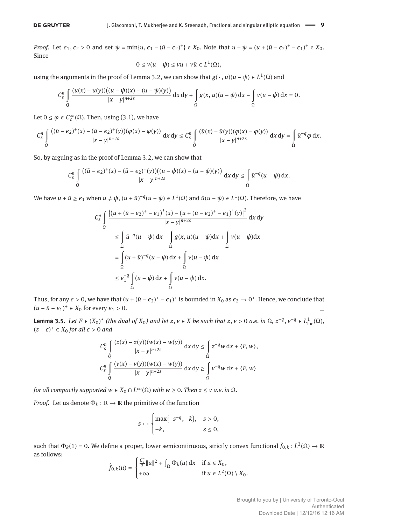#### **DE GRUYTER**

*Proof.* Let  $\epsilon_1, \epsilon_2 > 0$  and set  $\psi = \min\{u, \epsilon_1 - (\bar{u} - \epsilon_2)^+\} \in X_0$ . Note that  $u - \psi = (u + (\bar{u} - \epsilon_2)^+ - \epsilon_1)^+ \in X_0$ . Since

$$
0\leq v(u-\psi)\leq vu+v\bar{u}\in L^1(\Omega),
$$

using the arguments in the proof of Lemma 3.2, we can show that  $g(\cdot, u)(u - \psi) \in L^1(\Omega)$  and

$$
C_{s}^{n} \int_{Q} \frac{(u(x) - u(y))((u - \psi)(x) - (u - \psi)(y))}{|x - y|^{n+2s}} dx dy + \int_{\Omega} g(x, u)(u - \psi) dx - \int_{\Omega} v(u - \psi) dx = 0.
$$

Let  $0 \le \varphi \in C_c^{\infty}(\Omega)$ . Then, using (3.1), we have

$$
C_s^n\int\limits_Q \frac{\big((\bar u-\epsilon_2)^+(x)-(\bar u-\epsilon_2)^+(y)\big)(\varphi(x)-\varphi(y))}{|x-y|^{n+2s}}\, \mathrm{d} x\, \mathrm{d} y \leq C_s^n\int\limits_Q \frac{(\bar u(x)-\bar u(y))(\varphi(x)-\varphi(y))}{|x-y|^{n+2s}}\, \mathrm{d} x\, \mathrm{d} y = \int\limits_\Omega \bar u^{-q}\varphi \, \mathrm{d} x.
$$

So, by arguing as in the proof of Lemma 3.2, we can show that

$$
C_S^n\int\limits_{Q}\frac{((\bar{u}-\epsilon_2)^+(x)-(\bar{u}-\epsilon_2)^+(y))((u-\psi)(x)-(u-\psi)(y))}{|x-y|^{n+2s}}\,dx\,dy\leq \int\limits_{\Omega}\bar{u}^{-q}(u-\psi)\,dx.
$$

We have  $u + \bar{u} \ge \epsilon_1$  when  $u \ne \psi$ ,  $(u + \bar{u})^{-q}(u - \psi) \in L^1(\Omega)$  and  $\bar{u}(u - \psi) \in L^1(\Omega)$ . Therefore, we have

$$
C_{s}^{n} \int_{Q} \frac{\left| \left(u + (\bar{u} - \epsilon_{2})^{+} - \epsilon_{1}\right)^{+}(x) - \left(u + (\bar{u} - \epsilon_{2})^{+} - \epsilon_{1}\right)^{+}(y)\right|^{2}}{|x - y|^{n+2s}} dx dy
$$
\n
$$
\leq \int_{\Omega} \bar{u}^{-q}(u - \psi) dx - \int_{\Omega} g(x, u)(u - \psi) dx + \int_{\Omega} v(u - \psi) dx
$$
\n
$$
= \int_{\Omega} (u + \bar{u})^{-q}(u - \psi) dx + \int_{\Omega} v(u - \psi) dx
$$
\n
$$
\leq \epsilon_{1}^{-q} \int_{\Omega} (u - \psi) dx + \int_{\Omega} v(u - \psi) dx.
$$

Thus, for any  $\epsilon > 0$ , we have that  $(u + (\bar{u} - \epsilon_2)^+ - \epsilon_1)^+$  is bounded in  $X_0$  as  $\epsilon_2 \to 0^+$ . Hence, we conclude that  $(u + \bar{u} - \epsilon_1)^+$  ∈  $X_0$  for every  $\epsilon_1 > 0$ .  $\Box$ 

**Lemma 3.5.** *Let F* ∈ (*X*<sub>0</sub>)<sup>\*</sup> (the dual of *X*<sub>0</sub>) and let *z*, *v* ∈ *X* be such that *z*, *v* > 0 *a.e.* in Ω, *z*<sup>−*q*</sup>, *v*<sup>−*q*</sup> ∈  $L_{loc}^{1}(\Omega)$ , (*z* − *ϵ*) <sup>+</sup> ∈ *X*<sup>0</sup> *for all ϵ* > 0 *and*

$$
C_S^n \int\limits_{Q} \frac{(z(x) - z(y))(w(x) - w(y))}{|x - y|^{n+2s}} dx dy \le \int\limits_{\Omega} z^{-q} w dx + \langle F, w \rangle,
$$
  

$$
C_S^n \int\limits_{Q} \frac{(v(x) - v(y))(w(x) - w(y))}{|x - y|^{n+2s}} dx dy \ge \int\limits_{\Omega} v^{-q} w dx + \langle F, w \rangle
$$

*for all compactly supported w*  $\in X_0 \cap L^\infty(\Omega)$  *with w*  $\geq 0$ *. Then z*  $\leq$  *v a.e. in*  $\Omega$ *.* 

*Proof.* Let us denote  $\Phi_k : \mathbb{R} \to \mathbb{R}$  the primitive of the function

$$
s \mapsto \begin{cases} \max\{-s^{-q}, -k\}, & s > 0, \\ -k, & s \le 0, \end{cases}
$$

such that  $\Phi_k(1) = 0$ . We define a proper, lower semicontinuous, strictly convex functional  $\hat{f}_{0,k}$ :  $L^2(\Omega) \to \mathbb{R}$ as follows:

$$
\hat{f}_{0,k}(u) = \begin{cases} \frac{C_s^n}{2} ||u||^2 + \int_{\Omega} \Phi_k(u) \, dx & \text{if } u \in X_0, \\ +\infty & \text{if } u \in L^2(\Omega) \setminus X_0. \end{cases}
$$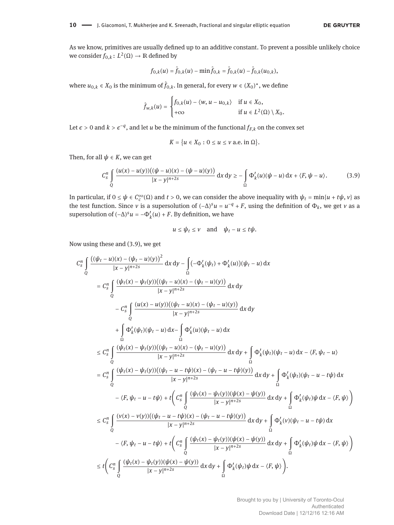As we know, primitives are usually defined up to an additive constant. To prevent a possible unlikely choice we consider  $f_{0,k} \colon L^2(\Omega) \to \mathbb{R}$  defined by

$$
f_{0,k}(u) = \hat{f}_{0,k}(u) - \min \hat{f}_{0,k} = \hat{f}_{0,k}(u) - \hat{f}_{0,k}(u_{0,k}),
$$

where  $u_{0,k} \in X_0$  is the minimum of  $\hat{f}_{0,k}$ . In general, for every  $w \in (X_0)^*$ , we define

 $\overline{a}$ 

$$
\hat{f}_{w,k}(u) = \begin{cases} f_{0,k}(u) - \langle w, u - u_{0,k} \rangle & \text{if } u \in X_0, \\ +\infty & \text{if } u \in L^2(\Omega) \setminus X_0. \end{cases}
$$

Let  $\epsilon > 0$  and  $k > \epsilon^{-q}$ , and let *u* be the minimum of the functional  $f_{F,k}$  on the convex set

$$
K = \{u \in X_0 : 0 \le u \le v \text{ a.e. in } \Omega\}.
$$

Then, for all  $\psi \in K$ , we can get

$$
C_S^n \int\limits_{Q} \frac{(u(x)-u(y))((\psi-u)(x)-(\psi-u)(y))}{|x-y|^{n+2s}} \, \mathrm{d}x \, \mathrm{d}y \geq -\int\limits_{\Omega} \Phi'_k(u)(\psi-u) \, \mathrm{d}x + \langle F, \psi-u \rangle. \tag{3.9}
$$

In particular, if  $0 \le \psi \in C_c^{\infty}(\Omega)$  and  $t > 0$ , we can consider the above inequality with  $\psi_t = \min\{u + t\psi, v\}$  as the test function. Since *ν* is a supersolution of  $(-∆)^s u = u^{-q} + F$ , using the definition of  $\Phi_k$ , we get *ν* as a supersolution of  $(-\Delta)^s u = -\Phi'_k(u) + F$ . By definition, we have

$$
u\leq \psi_t\leq v\quad\text{and}\quad \psi_t-u\leq t\psi.
$$

Now using these and (3.9), we get

$$
C_{s}^{n} \int_{Q} \frac{\left((\psi_{t}-u)(x)-(\psi_{t}-u)(y)\right)^{2}}{|x-y|^{n+2s}} dx dy - \int_{\Omega} \left(-\Phi_{k}'(\psi_{t}) + \Phi_{k}'(u)\right)(\psi_{t}-u) dx
$$
\n
$$
= C_{s}^{n} \int_{Q} \frac{(\psi_{t}(x)-\psi_{t}(y))((\psi_{t}-u)(x)-(\psi_{t}-u)(y))}{|x-y|^{n+2s}} dx dy
$$
\n
$$
- C_{s}^{n} \int_{Q} \frac{(u(x)-u(y))((\psi_{t}-u)(x)-(\psi_{t}-u)(y))}{|x-y|^{n+2s}} dx dy
$$
\n
$$
+ \int_{\Omega} \Phi_{k}'(\psi_{t})(\psi_{t}-u) dx - \int_{\Omega} \Phi_{k}'(u)(\psi_{t}-u) dx
$$
\n
$$
\leq C_{s}^{n} \int_{Q} \frac{(\psi_{t}(x)-\psi_{t}(y))((\psi_{t}-u)(x)-(\psi_{t}-u)(y))}{|x-y|^{n+2s}} dx dy + \int_{\Omega} \Phi_{k}'(\psi_{t})(\psi_{t}-u) dx - \langle F, \psi_{t}-u \rangle
$$
\n
$$
= C_{s}^{n} \int_{Q} \frac{(\psi_{t}(x)-\psi_{t}(y))((\psi_{t}-u-t\psi)(x)-(\psi_{t}-u-t\psi)(y))}{|x-y|^{n+2s}} dx dy + \int_{\Omega} \Phi_{k}'(\psi_{t})(\psi_{t}-u-t\psi) dx
$$
\n
$$
- \langle F, \psi_{t}-u-t\psi \rangle + t \Bigg(C_{s}^{n} \int_{Q} \frac{(\psi_{t}(x)-\psi_{t}(y))(\psi(x)-\psi(y))}{|x-y|^{n+2s}} dx dy + \int_{\Omega} \Phi_{k}'(\psi_{t})\psi dx - \langle F, \psi \rangle \Bigg)
$$
\n
$$
\leq C_{s}^{n} \int_{Q} \frac{(v(x)-v(y))((\psi_{t}-u-t\psi)(x)-(\psi_{t}-u-t\psi)(y))}{|x-y|^{n+2s}} dx dy + \int_{\Omega} \Phi_{k}'(v)(\psi_{t}-u-t\psi) dx
$$
\n
$$
- \langle F, \psi_{t}-u-t\psi \rangle + t \Bigg(C_{s}^{n} \int_{Q} \frac{(\
$$

Brought to you by | University of Toronto-Ocul Authenticated Download Date | 12/12/16 12:16 AM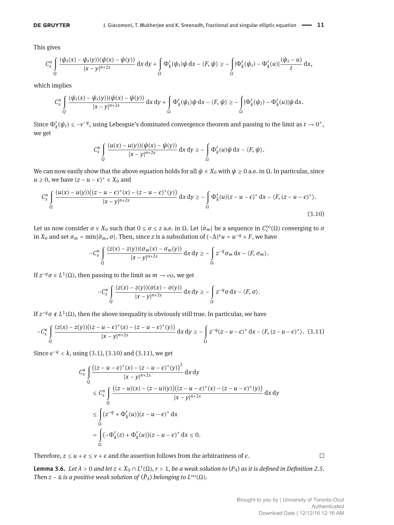This gives

$$
C_s^n\int\limits_{Q} \frac{(\psi_t(x)-\psi_t(y))(\psi(x)-\psi(y))}{|x-y|^{n+2s}}\, \mathrm{d} x\, \mathrm{d} y+\int\limits_{\Omega}\Phi_k'(\psi_t)\psi\, \mathrm{d} x-\langle F,\psi\rangle\geq -\int\limits_{\Omega}|\Phi_k'(\psi_t)-\Phi_k'(u)|\frac{(\psi_t-u)}{t}\, \mathrm{d} x,
$$

which implies

$$
C_S^n\int\limits_{Q}\frac{(\psi_t(x)-\psi_t(y))(\psi(x)-\psi(y))}{|x-y|^{n+2s}}\, \mathrm{d} x\, \mathrm{d} y+\int\limits_{\Omega}\Phi_k'(\psi_t)\psi\, \mathrm{d} x-\langle F,\psi\rangle\geq -\int\limits_{\Omega}|\Phi_k'(\psi_t)-\Phi_k'(u)|\psi\, \mathrm{d} x.
$$

Since  $\Phi'_k(\psi_t) \le -v^{-q}$ , using Lebesgue's dominated convergence theorem and passing to the limit as  $t \to 0^+$ , we get

$$
C_S^n\int\limits_{Q}\frac{(u(x)-u(y))(\psi(x)-\psi(y))}{|x-y|^{n+2s}}\,dx\,dy\geq -\int\limits_{\Omega}\Phi_k'(u)\psi\,dx-\langle F,\psi\rangle.
$$

We can now easily show that the above equation holds for all  $\psi \in X_0$  with  $\psi \ge 0$  a.e. in  $\Omega$ . In particular, since *u* ≥ 0, we have  $(z - u - \epsilon)^+$  ∈  $X_0$  and

$$
C_S^n \int\limits_{Q} \frac{(u(x)-u(y))((z-u-\epsilon)^+(x)-(z-u-\epsilon)^+(y))}{|x-y|^{n+2s}} \, \mathrm{d}x \, \mathrm{d}y \geq -\int\limits_{\Omega} \Phi'_k(u)(z-u-\epsilon)^+ \, \mathrm{d}x - \langle F, (z-u-\epsilon)^+ \rangle. \tag{3.10}
$$

Let us now consider  $\sigma \in X_0$  such that  $0 \le \sigma \le z$  a.e. in  $\Omega$ . Let  $\{\hat{\sigma}_m\}$  be a sequence in  $C_c^{\infty}(\Omega)$  converging to  $\sigma$ in  $X_0$  and set  $\sigma_m = \min{\{\hat{\sigma}_m, \sigma\}}$ . Then, since *z* is a subsolution of  $(-\Delta)^s u = u^{-q} + F$ , we have

$$
-C_{S}^{n}\int_{Q}\frac{(z(x)-z(y))(\sigma_{m}(x)-\sigma_{m}(y))}{|x-y|^{n+2s}}\,dx\,dy\geq-\int_{\Omega}z^{-q}\sigma_{m}\,dx-\langle F,\sigma_{m}\rangle.
$$

If  $z^{-q}\sigma \in L^1(\Omega)$ , then passing to the limit as  $m \to \infty$ , we get

$$
-C_s^n\int\limits_Q\frac{(z(x)-z(y))(\sigma(x)-\sigma(y))}{|x-y|^{n+2s}}\, \mathrm{d} x\, \mathrm{d} y\geq -\int\limits_\Omega z^{-q}\sigma\, \mathrm{d} x-\langle F,\sigma\rangle.
$$

If  $z^{-q}$  σ  $\notin L^1(\Omega)$ , then the above inequality is obviously still true. In particular, we have

$$
-C_5^n \int\limits_{Q} \frac{(z(x)-z(y))((z-u-\epsilon)^+(x)-(z-u-\epsilon)^+(y))}{|x-y|^{n+2s}} \, \mathrm{d}x \, \mathrm{d}y \ge -\int\limits_{\Omega} z^{-q}(z-u-\epsilon)^+ \, \mathrm{d}x - \langle F, (z-u-\epsilon)^+ \rangle. \tag{3.11}
$$

Since  $\epsilon^{-q}$  < *k*, using (3.1), (3.10) and (3.11), we get

$$
C_{s}^{n} \int_{Q} \frac{((z - u - \epsilon)^{+}(x) - (z - u - \epsilon)^{+}(y))^{2}}{|x - y|^{n+2s}} dx dy
$$
  
\n
$$
\leq C_{s}^{n} \int_{Q} \frac{((z - u)(x) - (z - u)(y))((z - u - \epsilon)^{+}(x) - (z - u - \epsilon)^{+}(y))}{|x - y|^{n+2s}} dx dy
$$
  
\n
$$
\leq \int_{\Omega} (z^{-q} + \Phi'_{k}(u))(z - u - \epsilon)^{+} dx
$$
  
\n
$$
= \int_{\Omega} (-\Phi'_{k}(z) + \Phi'_{k}(u))(z - u - \epsilon)^{+} dx \leq 0.
$$

Therefore,  $z \le u + \epsilon \le v + \epsilon$  and the assertion follows from the arbitrariness of  $\epsilon$ .

 $\Box$ 

**Lemma 3.6.** *Let*  $\lambda > 0$  *and let*  $z \in X_0 \cap L^r(\Omega)$ ,  $r > 1$ , *be a weak solution to*  $(P_\lambda)$  *as it is defined in Definition 2.5. Then z* –  $\bar{u}$  *is a positive weak solution of*  $(\bar{P}_{\lambda})$  *belonging to*  $L^{\infty}(\Omega)$ *.*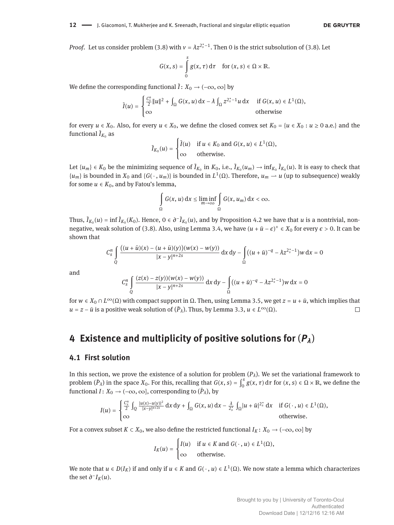*Proof.* Let us consider problem (3.8) with  $v = \lambda z^{2_s^* - 1}$ . Then 0 is the strict subsolution of (3.8). Let

$$
G(x, s) = \int_{0}^{s} g(x, \tau) d\tau \quad \text{for } (x, s) \in \Omega \times \mathbb{R}.
$$

We define the corresponding functional  $\tilde{I}: X_0 \to (-\infty, \infty]$  by

$$
\tilde{I}(u) = \begin{cases}\n\frac{C_s^n}{2} \|u\|^2 + \int_{\Omega} G(x, u) dx - \lambda \int_{\Omega} z^{2_s^* - 1} u dx & \text{if } G(x, u) \in L^1(\Omega), \\
\infty & \text{otherwise}\n\end{cases}
$$

for every  $u \in X_0$ . Also, for every  $u \in X_0$ , we define the closed convex set  $K_0 = \{u \in X_0 : u \ge 0 \text{ a.e.}\}\$  and the functional  $\tilde{I}_{K_0}$  as

$$
\tilde{I}_{K_0}(u) = \begin{cases} \tilde{I}(u) & \text{if } u \in K_0 \text{ and } G(x, u) \in L^1(\Omega), \\ \infty & \text{otherwise.} \end{cases}
$$

Let  $\{u_m\} \in K_0$  be the minimizing sequence of  $\tilde{I}_{K_0}$  in  $K_0$ , i.e.,  $\tilde{I}_{K_0}(u_m) \to \inf_{K_0} \tilde{I}_{K_0}(u)$ . It is easy to check that  $\{u_m\}$  is bounded in  $X_0$  and  $\{G(\cdot, u_m)\}$  is bounded in  $L^1(\Omega)$ . Therefore,  $u_m \to u$  (up to subsequence) weakly for some  $u \in K_0$ , and by Fatou's lemma,

$$
\int_{\Omega} G(x, u) dx \le \liminf_{m \to \infty} \int_{\Omega} G(x, u_m) dx < \infty.
$$

Thus,  $\tilde{I}_{K_0}(u) = \inf \tilde{I}_{K_0}(K_0)$ . Hence,  $0 \in \partial^{-}I_{K_0}(u)$ , and by Proposition 4.2 we have that *u* is a nontrivial, nonnegative, weak solution of (3.8). Also, using Lemma 3.4, we have  $(u + \bar{u} - \epsilon)^+ \in X_0$  for every  $\epsilon > 0$ . It can be shown that

$$
C_S^n \int\limits_{Q} \frac{((u + \bar{u})(x) - (u + \bar{u})(y))(w(x) - w(y))}{|x - y|^{n+2s}} \, \mathrm{d}x \, \mathrm{d}y - \int\limits_{\Omega} ((u + \bar{u})^{-q} - \lambda z^{2_s^*-1}) w \, \mathrm{d}x = 0
$$

and

$$
C_S^n \int\limits_{Q} \frac{(z(x)-z(y))(w(x)-w(y))}{|x-y|^{n+2s}} \, \mathrm{d}x \, \mathrm{d}y - \int\limits_{\Omega} \bigl( (u+\bar{u})^{-q} - \lambda z^{2_s^*-1} \bigr) w \, \mathrm{d}x = 0
$$

for *w* ∈ *X*<sub>0</sub> ∩ *L*<sup>∞</sup>(Ω) with compact support in Ω. Then, using Lemma 3.5, we get *z* = *u* + *ū*, which implies that *u* = *z* − *ū* is a positive weak solution of  $(\bar{P}_\lambda)$ . Thus, by Lemma 3.3, *u* ∈  $L^\infty(\Omega)$ .  $\Box$ 

## **4 Existence and multiplicity of positive solutions for** (*Pλ*)

#### **4.1 First solution**

In this section, we prove the existence of a solution for problem  $(P_\lambda)$ . We set the variational framework to problem  $(\bar{P}_\lambda)$  in the space  $X_0$ . For this, recalling that  $G(x, s) = \int_0^s$  $\int_{0}^{3} g(x, \tau) d\tau$  for  $(x, s) \in \Omega \times \mathbb{R}$ , we define the functional  $I\colon X_0\to (-\infty,\infty]$ , corresponding to  $(\bar P_\lambda)$ , by

$$
I(u)=\begin{cases}\frac{C_s^n}{2}\int_Q\frac{|u(x)-u(y)|^2}{|x-y|^{n+2s}}\,dx\,dy+\int_\Omega G(x,u)\,dx-\frac{\lambda}{2_s^*}\int_\Omega|u+\bar{u}|^{2_s^*}\,dx & \text{if } G(\,\cdot\,,u)\in L^1(\Omega),\\ \infty & \text{otherwise.}\end{cases}
$$

For a convex subset  $K \subset X_0$ , we also define the restricted functional  $I_K: X_0 \to (-\infty, \infty]$  by

$$
I_K(u) = \begin{cases} I(u) & \text{if } u \in K \text{ and } G(\cdot, u) \in L^1(\Omega), \\ \infty & \text{otherwise.} \end{cases}
$$

We note that  $u \in D(I_K)$  if and only if  $u \in K$  and  $G(\cdot, u) \in L^1(\Omega)$ . We now state a lemma which characterizes the set  $\partial^- I_K(u)$ .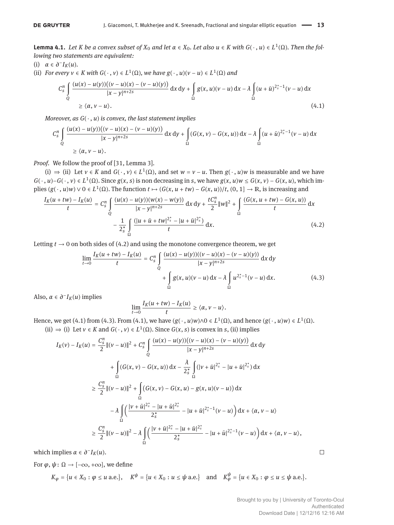**Lemma 4.1.** Let K be a convex subset of  $X_0$  and let  $\alpha \in X_0$ . Let also  $u \in K$  with  $G(\cdot, u) \in L^1(\Omega)$ . Then the fol*lowing two statements are equivalent:*

(i) 
$$
\alpha \in \partial^- I_K(u)
$$
.

(ii) For every 
$$
v \in K
$$
 with  $G(\cdot, v) \in L^1(\Omega)$ , we have  $g(\cdot, u)(v - u) \in L^1(\Omega)$  and

$$
C_{s}^{n} \int_{Q} \frac{(u(x) - u(y))((v - u)(x) - (v - u)(y))}{|x - y|^{n+2s}} dx dy + \int_{\Omega} g(x, u)(v - u) dx - \lambda \int_{\Omega} (u + \bar{u})^{2_{s}^{*}-1} (v - u) dx
$$
  
\$\geq \langle \alpha, v - u \rangle\$. (4.1)

*Moreover, as G*( ⋅ , *u*) *is convex, the last statement implies*

$$
C_S^n \int_{Q} \frac{(u(x) - u(y))((v - u)(x) - (v - u)(y))}{|x - y|^{n+2s}} dx dy + \int_{\Omega} (G(x, v) - G(x, u)) dx - \lambda \int_{\Omega} (u + \bar{u})^{2_s^* - 1} (v - u) dx
$$
  
  $\ge \langle \alpha, v - u \rangle.$ 

*Proof.* We follow the proof of [31, Lemma 3].

(i)  $\Rightarrow$  (ii) Let *v* ∈ *K* and *G*( ⋅ *, v*) ∈ *L*<sup>1</sup>(Ω), and set *w* = *v* − *u*. Then *g*( ⋅ *, u*)*w* is measurable and we have  $G(\cdot, u) - G(\cdot, v) \in L^1(\Omega)$ . Since  $g(x, s)$  is non decreasing in s, we have  $g(x, u)w \le G(x, v) - G(x, u)$ , which implies  $(g(\cdot, u)w) \vee 0 \in L^1(\Omega)$ . The function  $t \mapsto (G(x, u + tw) - G(x, u))/t$ ,  $(0, 1] \to \mathbb{R}$ , is increasing and

$$
\frac{I_K(u+tw) - I_K(u)}{t} = C_s^n \int_{Q} \frac{(u(x) - u(y))(w(x) - w(y))}{|x - y|^{n+2s}} dx dy + \frac{tC_s^n}{2} ||w||^2 + \int_{\Omega} \frac{(G(x, u+tw) - G(x, u))}{t} dx
$$

$$
- \frac{1}{2_s^n} \int_{\Omega} \frac{(|u + \bar{u} + tw|^{2_s^n} - |u + \bar{u}|^{2_s^n})}{t} dx.
$$
(4.2)

Letting  $t \to 0$  on both sides of (4.2) and using the monotone convergence theorem, we get

$$
\lim_{t \to 0} \frac{I_K(u + tw) - I_K(u)}{t} = C_s^n \int\limits_{Q} \frac{(u(x) - u(y))((v - u)(x) - (v - u)(y))}{|x - y|^{n+2s}} dx dy
$$

$$
+ \int\limits_{\Omega} g(x, u)(v - u) dx - \lambda \int\limits_{\Omega} u^{2_s^* - 1}(v - u) dx. \tag{4.3}
$$

Also,  $\alpha \in \partial^{-}I_K(u)$  implies

$$
\lim_{t\to 0}\frac{I_K(u+tw)-I_K(u)}{t}\geq \langle \alpha, v-u\rangle.
$$

Hence, we get (4.1) from (4.3). From (4.1), we have  $(g(\cdot, u)w)\wedge 0 \in L^1(\Omega)$ , and hence  $(g(\cdot, u)w) \in L^1(\Omega)$ . (ii)  $\Rightarrow$  (i) Let *v* ∈ *K* and *G*( ⋅ *, v*) ∈ *L*<sup>1</sup>( $\Omega$ ). Since *G*(*x*, *s*) is convex in *s*, (ii) implies

$$
I_{K}(v) - I_{K}(u) = \frac{C_{s}^{n}}{2} ||(v - u)||^{2} + C_{s}^{n} \int_{Q} \frac{(u(x) - u(y))((v - u)(x) - (v - u)(y))}{|x - y|^{n+2s}} dx dy
$$
  
+ 
$$
\int_{\Omega} (G(x, v) - G(x, u)) dx - \frac{\lambda}{2_{s}^{*}} \int_{\Omega} (|v + \bar{u}|^{2_{s}^{*}} - |u + \bar{u}|^{2_{s}^{*}}) dx
$$
  

$$
\geq \frac{C_{s}^{n}}{2} ||(v - u)||^{2} + \int_{\Omega} (G(x, v) - G(x, u) - g(x, u)(v - u)) dx
$$
  

$$
- \lambda \int_{\Omega} \left( \frac{|v + \bar{u}|^{2_{s}^{*}} - |u + \bar{u}|^{2_{s}^{*}}}{2_{s}^{*}} - |u + \bar{u}|^{2_{s}^{*}-1}(v - u) \right) dx + \langle \alpha, v - u \rangle
$$
  

$$
\geq \frac{C_{s}^{n}}{2} ||(v - u)||^{2} - \lambda \int_{\Omega} \left( \frac{|v + \bar{u}|^{2_{s}^{*}} - |u + \bar{u}|^{2_{s}^{*}}}{2_{s}^{*}} - |u + \bar{u}|^{2_{s}^{*}-1}(v - u) \right) dx + \langle \alpha, v - u \rangle,
$$

which implies  $\alpha \in \partial^- I_K(u)$ .

For  $\varphi, \psi \colon \Omega \to [-\infty, +\infty]$ , we define

$$
K_{\varphi} = \{u \in X_0 : \varphi \le u \text{ a.e.}\}, \quad K^{\psi} = \{u \in X_0 : u \le \psi \text{ a.e.}\} \quad \text{and} \quad K_{\varphi}^{\psi} = \{u \in X_0 : \varphi \le u \le \psi \text{ a.e.}\}.
$$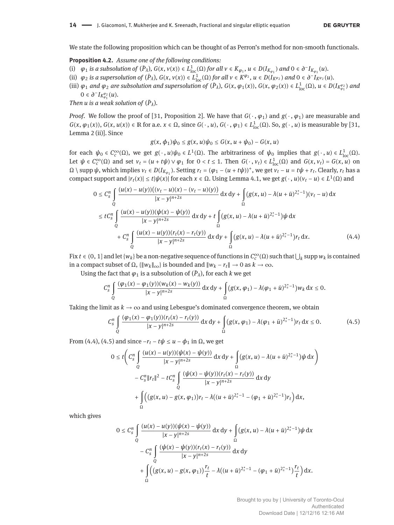We state the following proposition which can be thought of as Perron's method for non-smooth functionals.

**Proposition 4.2.** *Assume one of the following conditions:*

- (i)  $\varphi_1$  is a subsolution of  $(\bar{P}_\lambda)$ ,  $G(x, v(x)) \in L^1_{loc}(\Omega)$  for all  $v \in K_{\varphi_1}$ ,  $u \in D(I_{K_{\varphi_1}})$  and  $0 \in \partial^- I_{K_{\varphi_1}}(u)$ .
- (ii)  $\varphi_2$  is a supersolution of  $(\bar{P}_\lambda)$ ,  $G(x, v(x)) \in L^1_{loc}(\Omega)$  for all  $v \in K^{\varphi_2}$ ,  $u \in D(I_{K^{\varphi_2}})$  and  $0 \in \partial^- I_{K^{\varphi_2}}(u)$ .
- (iii)  $\varphi_1$  and  $\varphi_2$  are subsolution and supersolution of  $(\bar{P}_\lambda)$ ,  $G(x, \varphi_1(x))$ ,  $G(x, \varphi_2(x)) \in L^1_{loc}(\Omega)$ ,  $u \in D(I_{K_{\varphi_1}}^{\varphi_2})$  and 0 ∈  $\partial$ <sup>-</sup>*I*<sub>*K*<sup>φ</sup><sub>2</sub></sup></sub><sub>2</sub><sub>*(u*)*.*</sub>

*Then u is a weak solution of*  $(\bar{P}_{\lambda})$ *.* 

*Proof.* We follow the proof of [31, Proposition 2]. We have that  $G(\cdot, \varphi_1)$  and  $g(\cdot, \varphi_1)$  are measurable and  $G(x, \varphi_1(x)), G(x, u(x)) \in \mathbb{R}$  for a.e.  $x \in \Omega$ , since  $G(\cdot, u), G(\cdot, \varphi_1) \in L^1_{loc}(\Omega)$ . So,  $g(\cdot, u)$  is measurable by [31, Lemma 2 (ii)]. Since

$$
g(x, \phi_1)\psi_0 \le g(x, u)\psi_0 \le G(x, u + \psi_0) - G(x, u)
$$

for each  $ψ_0 ∈ C_c^∞(Ω)$ , we get  $g(·, u)ψ_0 ∈ L<sup>1</sup>(Ω)$ . The arbitrariness of  $ψ_0$  implies that  $g(·, u) ∈ L<sup>1</sup><sub>loc</sub>(Ω)$ . Let  $\psi \in C_c^{\infty}(\Omega)$  and set  $v_t = (u + t\psi) \vee \varphi_1$  for  $0 < t \le 1$ . Then  $G(\cdot, v_t) \in L^1_{loc}(\Omega)$  and  $G(x, v_t) = G(x, u)$  on  $\Omega \setminus$  supp  $\psi$ , which implies  $v_t \in D(I_{K_{\varphi_1}})$ . Setting  $r_t = (\varphi_1 - (u + t\psi))^+$ , we get  $v_t - u = t\psi + r_t$ . Clearly,  $r_t$  has a compact support and  $|r_t(x)| ≤ t |ψ(x)|$  for each  $x ∈ Ω$ . Using Lemma 4.1, we get  $g(·, u)(v_t – u) ∈ L<sup>1</sup>(Ω)$  and

$$
0 \leq C_{s}^{n} \int_{Q} \frac{(u(x) - u(y))((v_{t} - u)(x) - (v_{t} - u)(y))}{|x - y|^{n+2s}} dx dy + \int_{\Omega} (g(x, u) - \lambda(u + \bar{u})^{2_{s}^{*} - 1})(v_{t} - u) dx
$$
  
\n
$$
\leq t C_{s}^{n} \int_{Q} \frac{(u(x) - u(y))(\psi(x) - \psi(y))}{|x - y|^{n+2s}} dx dy + t \int_{\Omega} (g(x, u) - \lambda(u + \bar{u})^{2_{s}^{*} - 1}) \psi dx
$$
  
\n
$$
+ C_{s}^{n} \int_{Q} \frac{(u(x) - u(y))(r_{t}(x) - r_{t}(y))}{|x - y|^{n+2s}} dx dy + \int_{\Omega} (g(x, u) - \lambda(u + \bar{u})^{2_{s}^{*} - 1}) r_{t} dx.
$$
 (4.4)

Fix  $t \in (0, 1]$  and let  $\{w_k\}$  be a non-negative sequence of functions in  $C_c^{\infty}(\Omega)$  such that  $\bigcup_k$  supp  $w_k$  is contained in a compact subset of Ω, {‖*wk*‖∞} is bounded and ‖*w<sup>k</sup>* − *rt*‖ → 0 as *k* → ∞.

Using the fact that  $\varphi_1$  is a subsolution of  $(\bar{P}_\lambda)$ , for each  $k$  we get

$$
C_S^n \int\limits_{Q} \frac{(\varphi_1(x) - \varphi_1(y)) (w_k(x) - w_k(y))}{|x - y|^{n+2s}} \, \mathrm{d}x \, \mathrm{d}y + \int\limits_{\Omega} (g(x, \varphi_1) - \lambda(\varphi_1 + \bar{u})^{2_s^*-1}) w_k \, \mathrm{d}x \leq 0.
$$

Taking the limit as  $k \to \infty$  and using Lebesgue's dominated convergence theorem, we obtain

$$
C_{s}^{n} \int\limits_{Q} \frac{(\varphi_{1}(x) - \varphi_{1}(y))(r_{t}(x) - r_{t}(y))}{|x - y|^{n+2s}} dx dy + \int\limits_{\Omega} (g(x, \varphi_{1}) - \lambda(\varphi_{1} + \bar{u})^{2_{s}^{*}-1}) r_{t} dx \leq 0.
$$
 (4.5)

From (4.4), (4.5) and since  $-r_t - t\psi \le u - \phi_1$  in  $\Omega$ , we get

$$
0 \leq t \bigg( C_{s}^{n} \int_{Q} \frac{(u(x) - u(y))(\psi(x) - \psi(y))}{|x - y|^{n+2s}} dx dy + \int_{\Omega} (g(x, u) - \lambda (u + \bar{u})^{2_{s}^{*}-1}) \psi dx \bigg) - C_{s}^{n} ||r_{t}||^{2} - t C_{s}^{n} \int_{Q} \frac{(\psi(x) - \psi(y))(r_{t}(x) - r_{t}(y))}{|x - y|^{n+2s}} dx dy + \int_{\Omega} ((g(x, u) - g(x, \varphi_{1})) r_{t} - \lambda ((u + \bar{u})^{2_{s}^{*}-1} - (\varphi_{1} + \bar{u})^{2_{s}^{*}-1}) r_{t}) dx,
$$

which gives

$$
0 \leq C_{s}^{n} \int_{Q} \frac{(u(x) - u(y))(\psi(x) - \psi(y))}{|x - y|^{n+2s}} dx dy + \int_{\Omega} (g(x, u) - \lambda(u + \bar{u})^{2^{*}_{s} - 1}) \psi dx
$$
  

$$
- C_{s}^{n} \int_{Q} \frac{(\psi(x) - \psi(y))(r_{t}(x) - r_{t}(y))}{|x - y|^{n+2s}} dx dy
$$
  

$$
+ \int_{\Omega} ((g(x, u) - g(x, \varphi_{1})) \frac{r_{t}}{t} - \lambda((u + \bar{u})^{2^{*}_{s} - 1} - (\varphi_{1} + \bar{u})^{2^{*}_{s} - 1}) \frac{r_{t}}{t}) dx.
$$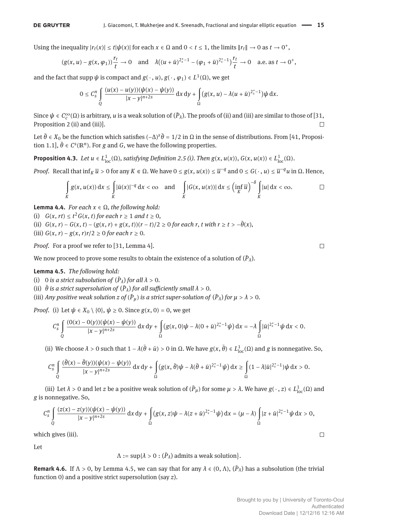Using the inequality  $|r_t(x)| \le t |\psi(x)|$  for each  $x \in \Omega$  and  $0 < t \le 1$ , the limits  $||r_t|| \to 0$  as  $t \to 0^+$ ,

$$
(g(x, u) - g(x, \varphi_1))\frac{r_t}{t} \to 0
$$
 and  $\lambda((u + \bar{u})^{2_s^* - 1} - (\varphi_1 + \bar{u})^{2_s^* - 1})\frac{r_t}{t} \to 0$  a.e. as  $t \to 0^+$ ,

and the fact that  $\text{supp } \psi$  is compact and  $g(\cdot, u), g(\cdot, \varphi_1) \in L^1(\Omega)$ , we get

$$
0\leq C_s^n\int\limits_Q\frac{(u(x)-u(y))(\psi(x)-\psi(y))}{|x-y|^{n+2s}}\,dx\,dy+\int\limits_\Omega\big(g(x,u)-\lambda(u+\bar{u})^{2_s^*-1}\big)\psi\,dx.
$$

Since  $\psi \in C_c^{\infty}(\Omega)$  is arbitrary, *u* is a weak solution of  $(\bar{P}_\lambda)$ . The proofs of (ii) and (iii) are similar to those of [31, Proposition 2 (ii) and (iii)].  $\Box$ 

Let  $\bar{\theta}$  ∈ *X*<sub>0</sub> be the function which satisfies  $(-\Delta)^s \bar{\theta} = 1/2$  in Ω in the sense of distributions. From [41, Proposition 1.1],  $\bar{\theta} \in C^{s}(\mathbb{R}^{n})$ . For *g* and *G*, we have the following properties.

**Proposition 4.3.** *Let*  $u \in L^1_{loc}(\Omega)$ , satisfying Definition 2.5 (i). Then  $g(x, u(x))$ ,  $G(x, u(x)) \in L^1_{loc}(\Omega)$ .

*Proof.* Recall that  $\inf_K \overline{u} > 0$  for any  $K \in \Omega$ . We have  $0 \le g(x, u(x)) \le \overline{u}^{-q}$  and  $0 \le G(\cdot, u) \le \overline{u}^{-q}u$  in  $\Omega$ . Hence,

$$
\int\limits_K g(x,u(x))\,\mathrm{d}x \leq \int\limits_K |\bar{u}(x)|^{-q}\,\mathrm{d}x < \infty \quad \text{and} \quad \int\limits_K |G(x,u(x))| \,\mathrm{d}x \leq \left(\inf\limits_K \overline{u}\right)^{-\delta} \int\limits_K |u| \,\mathrm{d}x < \infty. \qquad \Box
$$

**Lemma 4.4.** *For each*  $x \in \Omega$ *, the following hold:* 

(i)  $G(x, rt) \le t^2 G(x, t)$  *for each*  $r \ge 1$  *and*  $t \ge 0$ *,* 

- (ii)  $G(x, r) G(x, t) (g(x, r) + g(x, t))(r t)/2 \ge 0$  for each r, t with  $r \ge t > -\bar{\theta}(x)$ ,
- (iii) *G*(*x*, *r*) − *g*(*x*, *r*)*r*/2 ≥ 0 *for each r* ≥ 0.

*Proof.* For a proof we refer to [31, Lemma 4].

We now proceed to prove some results to obtain the existence of a solution of  $(\bar{P}_\lambda).$ 

**Lemma 4.5.** *The following hold:*

- (i) 0 *is a strict subsolution of*  $(\bar{P}_{\lambda})$  *for all*  $\lambda > 0$ *.*
- (ii)  $\bar{\theta}$  *is a strict supersolution of*  $(\bar{P}_{\lambda})$  *for all sufficiently small*  $\lambda > 0$ *.*

(iii) Any positive weak solution  $z$  of  $(\bar{P}_{\mu})$  is a strict super-solution of  $(\bar{P}_{\lambda})$  for  $\mu > \lambda > 0$ .

*Proof.* (i) Let  $\psi \in X_0 \setminus \{0\}$ ,  $\psi \ge 0$ . Since  $g(x, 0) = 0$ , we get

$$
C_S^n \int\limits_{Q} \frac{(0(x)-0(y))(\psi(x)-\psi(y))}{|x-y|^{n+2s}} \, \mathrm{d}x \, \mathrm{d}y + \int\limits_{\Omega} (g(x,0)\psi - \lambda(0+\bar{u})^{2_s^*-1}\psi) \, \mathrm{d}x = -\lambda \int\limits_{\Omega} |\bar{u}|^{2_s^*-1}\psi \, \mathrm{d}x < 0.
$$

(ii) We choose  $\lambda > 0$  such that  $1 - \lambda(\bar{\theta} + \bar{u}) > 0$  in  $\Omega$ . We have  $g(x, \bar{\theta}) \in L^1_{loc}(\Omega)$  and  $g$  is nonnegative. So,

$$
C_S^n\int\limits_Q\frac{(\bar\theta(x)-\bar\theta(y))(\psi(x)-\psi(y))}{|x-y|^{n+2s}}\, \mathrm{d} x\, \mathrm{d} y+\int\limits_\Omega\big(g(x,\bar\theta)\psi-\lambda(\bar\theta+\bar u)^{2_s^*-1}\psi\big)\, \mathrm{d} x\geq \int\limits_\Omega(1-\lambda|\bar u|^{2_s^*-1})\psi\, \mathrm{d} x>0.
$$

(iii) Let  $\lambda > 0$  and let *z* be a positive weak solution of  $(\bar{P}_{\mu})$  for some  $\mu > \lambda$ . We have  $g(\cdot, z) \in L^1_{loc}(\Omega)$  and *g* is nonnegative. So,

$$
C_S^n\int\limits_Q\frac{(z(x)-z(y))(\psi(x)-\psi(y))}{|x-y|^{n+2s}}\,dx\,dy+\int\limits_\Omega\big(g(x,z)\psi-\lambda(z+\bar u)^{2_s^*-1}\psi\big)\,dx=(\mu-\lambda)\int\limits_\Omega|z+\bar u|^{2_s^*-1}\psi\,dx>0,
$$

which gives (iii).

Let

 $\Lambda := \sup\{\lambda > 0 : (\bar P_\lambda) \text{ admits a weak solution}\}.$ 

**Remark 4.6.** If  $\Lambda > 0$ , by Lemma 4.5, we can say that for any  $\lambda \in (0, \Lambda)$ ,  $(\bar{P}_{\lambda})$  has a subsolution (the trivial function 0) and a positive strict supersolution (say *z*).

 $\Box$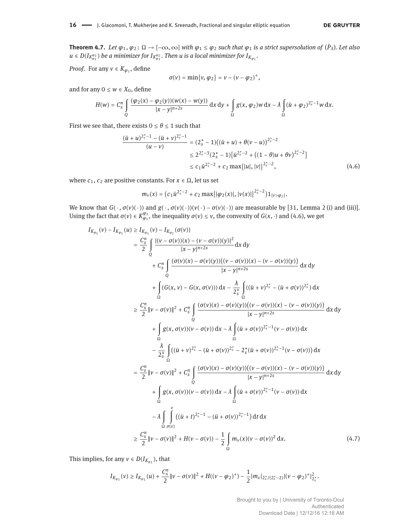**Theorem 4.7.** Let  $\varphi_1, \varphi_2 \colon \Omega \to [-\infty, \infty]$  with  $\varphi_1 \leq \varphi_2$  such that  $\varphi_1$  is a strict supersolution of  $(\bar{P}_\lambda)$ . Let also  $u \in D(I_{K_{\varphi_1}^{\varphi_2}})$  *be a minimizer for*  $I_{K_{\varphi_1}^{\varphi_2}}.$  *Then*  $u$  *is a local minimizer for*  $I_{K_{\varphi_1}}.$ 

*Proof.* For any  $v \in K_{\varphi_1}$ , define

$$
\sigma(v)=\min\{v,\,\varphi_2\}=v-(v-\varphi_2)^+,
$$

and for any  $0 \leq w \in X_0$ , define

$$
H(w) = C_s^n \int\limits_{Q} \frac{(\varphi_2(x) - \varphi_2(y))(w(x) - w(y))}{|x - y|^{n+2s}} \, \mathrm{d}x \, \mathrm{d}y + \int\limits_{\Omega} g(x, \varphi_2) w \, \mathrm{d}x - \lambda \int\limits_{\Omega} (\bar{u} + \varphi_2)^{2_s^*-1} w \, \mathrm{d}x.
$$

First we see that, there exists  $0 \le \theta \le 1$  such that

$$
\frac{(\bar{u}+u)^{2_s^*-1}-(\bar{u}+v)^{2_s^*-1}}{(u-v)}=(2_s^*-1)((\bar{u}+u)+\theta(v-u))^{2_s^*-2}
$$
  

$$
\leq 2^{2_s^*-3}(2_s^*-1)[\bar{u}^{2_s^*-2}+((1-\theta)u+\theta v)^{2_s^*-2}]
$$
  

$$
\leq c_1\bar{u}^{2_s^*-2}+c_2\max\{|u|,|v|\}^{2_s^*-2},
$$
 (4.6)

where  $c_1$ ,  $c_2$  are positive constants. For  $x \in \Omega$ , let us set

$$
m_{v}(x) = (c_{1}\bar{u}^{2_{s}^{*}-2} + c_{2}\max\{|\varphi_{2}(x)|,|v(x)|\}^{2_{s}^{*}-2})\mathbb{1}_{\{v>\varphi_{2}\}}.
$$

We know that  $G(\cdot, \sigma(v)(\cdot))$  and  $g(\cdot, \sigma(v)(\cdot))$ ( $v(\cdot) - \sigma(v)(\cdot)$ ) are measurable by [31, Lemma 2 (i) and (iii)]. Using the fact that  $\sigma(v) \in K^{\varphi_2}_{\varphi_1}$ , the inequality  $\sigma(v) \le v$ , the convexity of  $G(x, \cdot)$  and (4.6), we get

$$
I_{K_{\varphi_1}}(v) - I_{K_{\varphi_1}}(u) \ge I_{K_{\varphi_1}}(\sigma(v))
$$
\n
$$
= \frac{C_s^n}{2} \int_{Q} \frac{|(v - \sigma(v))(x) - (v - \sigma(v))(y)|^2}{|x - y|^{n+2s}} dx dy
$$
\n
$$
+ C_s^n \int_{Q} \frac{(\sigma(v)(x) - \sigma(v)(y))((v - \sigma(v))(x) - (v - \sigma(v))(y))}{|x - y|^{n+2s}} dx dy
$$
\n
$$
+ \int_{\Omega} (G(x, v) - G(x, \sigma(v))) dx - \frac{\lambda}{2s} \int_{\Omega} ((\bar{u} + v)^{2s} - (\bar{u} + \sigma(v))^{2s}) dx
$$
\n
$$
\ge \frac{C_s^n}{2} ||v - \sigma(v)||^2 + C_s^n \int_{Q} \frac{(\sigma(v)(x) - \sigma(v)(y))((v - \sigma(v))(x) - (v - \sigma(v))(y))}{|x - y|^{n+2s}} dx dy
$$
\n
$$
+ \int_{\Omega} g(x, \sigma(v))(v - \sigma(v)) dx - \lambda \int_{\Omega} (\bar{u} + \sigma(v))^{2s-1} (v - \sigma(v)) dx
$$
\n
$$
- \frac{\lambda}{2s} \int_{\Omega} ((\bar{u} + v)^{2s} - (\bar{u} + \sigma(v))^{2s} - 2s(\bar{u} + \sigma(v))^{2s-1} (v - \sigma(v))) dx
$$
\n
$$
= \frac{C_s^n}{2} ||v - \sigma(v)||^2 + C_s^n \int_{Q} \frac{(\sigma(v)(x) - \sigma(v)(y))((v - \sigma(v))(x) - (v - \sigma(v))(y))}{|x - y|^{n+2s}} dx dy
$$
\n
$$
+ \int_{\Omega} g(x, \sigma(v))(v - \sigma(v)) dx - \lambda \int_{\Omega} (\bar{u} + \sigma(v))^{2s-1} (v - \sigma(v)) dx
$$
\n
$$
- \lambda \int_{\Omega} \int_{\sigma(v)}^{v} ((\bar{u} + t)^{2s-1} - (\bar{u} + \sigma(v))^{2s-1}) dt dx
$$
\n
$$
\ge \frac{C_s^n}{2} ||v - \sigma(v)||^2 + H(v - \sigma(v)) - \frac{1}{2} \int_{\Omega} m_v(x)(v - \sigma(v))^2 dx
$$

This implies, for any  $v \in D(I_{K_{\varphi_1}})$ , that

$$
I_{K_{\varphi_1}}(v) \geq I_{K_{\varphi_1}}(u) + \frac{C_s^n}{2} \|v - \sigma(v)\|^2 + H((v-\varphi_2)^+) - \frac{1}{2} |m_v|_{2_s^*/(2_s^*-2)} |(v-\varphi_2)^+|_{2_s^*}^2.
$$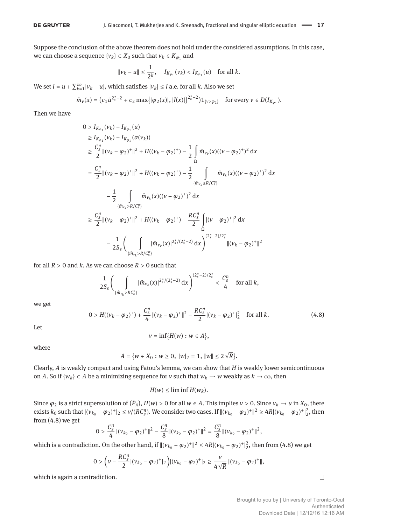Suppose the conclusion of the above theorem does not hold under the considered assumptions. In this case, we can choose a sequence  $\{v_k\} \subset X_0$  such that  $v_k \in K_{\varphi_1}$  and

$$
||v_k - u|| \le \frac{1}{2^k}
$$
,  $I_{K_{\varphi_1}}(v_k) < I_{K_{\varphi_1}}(u)$  for all k.

We set  $l = u + \sum_{k=1}^{\infty} |v_k - u|$ , which satisfies  $|v_k| \leq l$  a.e. for all *k*. Also we set

$$
\hat{m}_{v}(x)=(c_{1}\bar{u}^{2s-2}+c_{2}\max\{|\varphi_{2}(x)|,|l(x)|\}^{2s-2})1_{\{v>\varphi_{2}\}}\quad\text{for every }v\in D(I_{K_{\varphi_{1}}}).
$$

Then we have

$$
0 > I_{K_{\varphi_1}}(\nu_k) - I_{K_{\varphi_1}}(u)
$$
  
\n
$$
\geq I_{K_{\varphi_1}}(\nu_k) - I_{K_{\varphi_1}}(\sigma(\nu_k))
$$
  
\n
$$
\geq \frac{C_5^n}{2} ||(\nu_k - \varphi_2)^+||^2 + H((\nu_k - \varphi_2)^+) - \frac{1}{2} \int_{\Omega} \hat{m}_{\nu_k}(x)((\nu - \varphi_2)^+)^2 dx
$$
  
\n
$$
= \frac{C_5^n}{2} ||(\nu_k - \varphi_2)^+||^2 + H((\nu_k - \varphi_2)^+) - \frac{1}{2} \int_{\{\hat{m}_{\nu_k} \leq R/C_3^n\}} \hat{m}_{\nu_k}(x)((\nu - \varphi_2)^+)^2 dx
$$
  
\n
$$
- \frac{1}{2} \int_{\{\hat{m}_{\nu_k} > R/C_3^n\}} \hat{m}_{\nu_k}(x)((\nu - \varphi_2)^+)^2 dx
$$
  
\n
$$
\geq \frac{C_5^n}{2} ||(\nu_k - \varphi_2)^+||^2 + H((\nu_k - \varphi_2)^+) - \frac{RC_5^n}{2} \int_{\Omega} |(\nu - \varphi_2)^+|^2 dx
$$
  
\n
$$
- \frac{1}{2S_s} \Biggl(\int_{\{\hat{m}_{\nu_k} > R/C_3^n\}} |\hat{m}_{\nu_k}(x)|^{2_s^*/(2_s^*-2)} dx \Biggr)^{(2_s^*-2)/2_s^*} ||(\nu_k - \varphi_2)^+||^2
$$

for all  $R > 0$  and  $k$ . As we can choose  $R > 0$  such that

$$
\frac{1}{2S_s}\Bigg(\int\limits_{\{\hat{m}_{v_k}>RC_s^n\}}|\hat{m}_{v_k}(x)|^{2_s^*/(2_s^*-2)}\,\mathrm{d} x\Bigg)^{(2_s^*-2)/2_s^*}<\frac{C_s^n}{4}\quad\text{for all }k,
$$

we get

$$
0 > H((\nu_k - \varphi_2)^+) + \frac{C_s^n}{4} ||(\nu_k - \varphi_2)^+||^2 - \frac{RC_s^n}{2} |(\nu_k - \varphi_2)^+|_2^2 \quad \text{for all } k. \tag{4.8}
$$

Let

$$
v=\inf\bigl\{H(w):w\in A\bigr\},
$$

where

$$
A = \{ w \in X_0 : w \ge 0, \ |w|_2 = 1, \|w\| \le 2\sqrt{R} \}.
$$

Clearly, *A* is weakly compact and using Fatou's lemma, we can show that *H* is weakly lower semicontinuous on *A*. So if  $\{w_k\} \subset A$  be a minimizing sequence for *v* such that  $w_k \to w$  weakly as  $k \to \infty$ , then

 $H(w) \leq \liminf H(w_k)$ .

Since  $\varphi_2$  is a strict supersolution of  $(\bar{P}_\lambda)$ ,  $H(w) > 0$  for all  $w \in A$ . This implies  $v > 0$ . Since  $v_k \to u$  in  $X_0$ , there exists  $k_0$  such that  $|(\nu_{k_0} - \varphi_2)^+|_2 \le \nu/(RC_s^n)$ . We consider two cases. If  $| |(\nu_{k_0} - \varphi_2)^+|_2^2 \ge 4R |(\nu_{k_0} - \varphi_2)^+|_2^2$ , then from (4.8) we get

$$
0 > \frac{C_s^n}{4} ||(v_{k_0} - \varphi_2)^+||^2 - \frac{C_s^n}{8} ||(v_{k_0} - \varphi_2)^+||^2 = \frac{C_s^n}{8} ||(v_{k_0} - \varphi_2)^+||^2,
$$

which is a contradiction. On the other hand, if  $\|(v_{k_0} - \varphi_2)^+\|^2 \le 4R |(v_{k_0} - \varphi_2)^+|^2$ , then from (4.8) we get

$$
0 > \left(\nu - \frac{RC_S^n}{2} |(v_{k_0} - \varphi_2)^+|_2\right) |(v_{k_0} - \varphi_2)^+|_2 \ge \frac{\nu}{4\sqrt{R}} \| (v_{k_0} - \varphi_2)^+ \|,
$$

which is again a contradiction.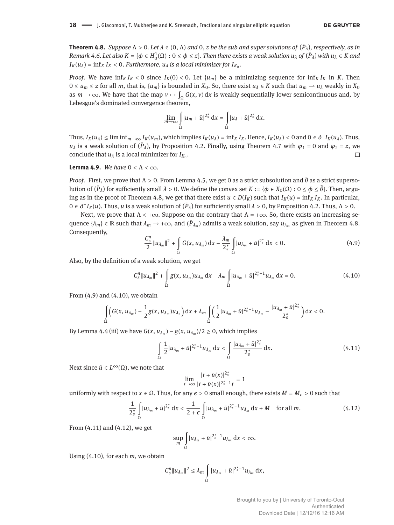**Theorem 4.8.** *Suppose* Λ > 0*. Let λ* ∈ (0, Λ) *and* 0, *z be the sub and super solutions of* (*P*̄ *<sup>λ</sup>*)*, respectively, as in* Remark 4.6. Let also  $K = \{\phi \in H^1_0(\Omega): 0 \le \phi \le z\}.$  Then there exists a weak solution  $u_\lambda$  of  $(\bar{P}_\lambda)$  with  $u_\lambda \in K$  and  $I_K(u_\lambda) = \inf_K I_K < 0$ . *Furthermore,*  $u_\lambda$  *is a local minimizer for*  $I_{K_0}$ .

*Proof.* We have  $\inf_K I_K < 0$  since  $I_K(0) < 0$ . Let  $\{u_m\}$  be a minimizing sequence for  $\inf_K I_K$  in *K*. Then  $0 \le u_m \le z$  for all *m*, that is,  $\{u_m\}$  is bounded in  $X_0$ . So, there exist  $u_\lambda \in K$  such that  $u_m \to u_\lambda$  weakly in  $X_0$ as  $m \to \infty$ . We have that the map  $v \mapsto \int_{\Omega} G(x, v) dx$  is weakly sequentially lower semicontinuous and, by Lebesgue's dominated convergence theorem,

$$
\lim_{m\to\infty}\int_{\Omega}|u_m+\bar{u}|^{2_s^*}\,\mathrm{d}x=\int_{\Omega}|u_{\lambda}+\bar{u}|^{2_s^*}\,\mathrm{d}x.
$$

Thus,  $I_K(u_\lambda) \le \liminf_{m \to \infty} I_K(u_m)$ , which implies  $I_K(u_\lambda) = \inf_K I_K$ . Hence,  $I_K(u_\lambda) < 0$  and  $0 \in \partial^- I_K(u_\lambda)$ . Thus, *u*<sub>λ</sub> is a weak solution of ( $\bar{P}_\lambda$ ), by Proposition 4.2. Finally, using Theorem 4.7 with  $\varphi_1$  = 0 and  $\varphi_2$  = *z*, we conclude that  $u_{\lambda}$  is a local minimizer for  $I_{K_0}$ .  $\Box$ 

**Lemma 4.9.** *We have*  $0 < \Lambda < \infty$ *.* 

*Proof.* First, we prove that  $\Lambda > 0$ . From Lemma 4.5, we get 0 as a strict subsolution and  $\bar{\theta}$  as a strict supersolution of  $(\bar{P}_\lambda)$  for sufficiently small  $\lambda > 0$ . We define the convex set  $K := \{\phi \in X_0(\Omega): 0 \le \phi \le \bar{\theta}\}$ . Then, arguing as in the proof of Theorem 4.8, we get that there exist  $u \in D(I_K)$  such that  $I_K(u) = \inf_K I_K$ . In particular,  $0 \in \partial^- I_K(u)$ . Thus, *u* is a weak solution of  $(\bar{P}_\lambda)$  for sufficiently small  $\lambda > 0$ , by Proposition 4.2. Thus,  $\Lambda > 0$ .

Next, we prove that  $\Lambda < +\infty$ . Suppose on the contrary that  $\Lambda = +\infty$ . So, there exists an increasing sequence  $\{\lambda_m\} \in \mathbb{R}$  such that  $\lambda_m \to +\infty$ , and  $(\bar{P}_{\lambda_m})$  admits a weak solution, say  $u_{\lambda_m}$  as given in Theorem 4.8. Consequently,

$$
\frac{C_S^n}{2} \|u_{\lambda_m}\|^2 + \int_{\Omega} G(x, u_{\lambda_m}) dx - \frac{\lambda_m}{2_s^*} \int_{\Omega} |u_{\lambda_m} + \bar{u}|^{2_s^*} dx < 0.
$$
 (4.9)

Also, by the definition of a weak solution, we get

$$
C_S^n \|u_{\lambda_m}\|^2 + \int\limits_{\Omega} g(x, u_{\lambda_m}) u_{\lambda_m} dx - \lambda_m \int\limits_{\Omega} |u_{\lambda_m} + \bar{u}|^{2_s^*-1} u_{\lambda_m} dx = 0.
$$
 (4.10)

From  $(4.9)$  and  $(4.10)$ , we obtain

$$
\int_{\Omega}\Bigl(G(x,u_{\lambda_m})-\frac{1}{2}g(x,u_{\lambda_m})u_{\lambda_n}\Bigr)\,\mathrm{d} x+\lambda_m\int_{\Omega}\Bigl(\frac{1}{2}|u_{\lambda_m}+\bar u|^{2_s^*-1}u_{\lambda_m}-\frac{|u_{\lambda_m}+\bar u|^{2_s^*}}{2_s^*}\Bigr)\,\mathrm{d} x<0.
$$

By Lemma 4.4 (iii) we have  $G(x, u_{\lambda_m}) - g(x, u_{\lambda_m})/2 \ge 0$ , which implies

$$
\int_{\Omega} \frac{1}{2} |u_{\lambda_m} + \bar{u}|^{2_s^*-1} u_{\lambda_m} dx < \int_{\Omega} \frac{|u_{\lambda_m} + \bar{u}|^{2_s^*}}{2_s^*} dx.
$$
 (4.11)

Next since  $\bar{u}$  ∈  $L^{\infty}(\Omega)$ , we note that

$$
\lim_{t \to \infty} \frac{|t + \bar{u}(x)|^{2_s^*}}{|t + \bar{u}(x)|^{2_s^* - 1}t} = 1
$$

∗

uniformly with respect to  $x \in \Omega$ . Thus, for any  $\epsilon > 0$  small enough, there exists  $M = M_{\epsilon} > 0$  such that

$$
\frac{1}{2_s^*} \int\limits_{\Omega} |u_{\lambda_m} + \bar{u}|^{2_s^*} dx < \frac{1}{2+\epsilon} \int\limits_{\Omega} |u_{\lambda_m} + \bar{u}|^{2_s^* - 1} u_{\lambda_m} dx + M \quad \text{for all } m. \tag{4.12}
$$

From (4.11) and (4.12), we get

$$
\sup_m \int_{\Omega} |u_{\lambda_m} + \bar{u}|^{2_s^*-1} u_{\lambda_m} \, \mathrm{d} x < \infty.
$$

Using (4.10), for each *m*, we obtain

$$
C_S^n \|u_{\lambda_m}\|^2 \leq \lambda_m \int\limits_{\Omega} |u_{\lambda_m} + \bar{u}|^{2_s^*-1} u_{\lambda_m} \, \mathrm{d}x,
$$

Brought to you by | University of Toronto-Ocul Authenticated Download Date | 12/12/16 12:16 AM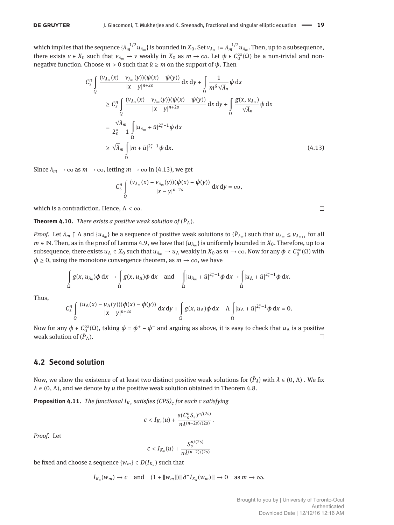which implies that the sequence  $\{\lambda_m^{-1/2}u_{\lambda_m}\}$  is bounded in  $X_0$ . Set  $v_{\lambda_m}:=\lambda_m^{-1/2}u_{\lambda_m}.$  Then, up to a subsequence, there exists  $v \in X_0$  such that  $v_{\lambda_m} \to v$  weakly in  $X_0$  as  $m \to \infty$ . Let  $\psi \in C_0^{\infty}(\Omega)$  be a non-trivial and nonnegative function. Choose  $m > 0$  such that  $\bar{u} \geq m$  on the support of  $\psi$ . Then

$$
C_{s}^{n} \int_{Q} \frac{(v_{\lambda_{m}}(x) - v_{\lambda_{m}}(y))(\psi(x) - \psi(y))}{|x - y|^{n+2s}} dx dy + \int_{\Omega} \frac{1}{m^{\delta} \sqrt{\lambda_{n}}} \psi dx
$$
  
\n
$$
\geq C_{s}^{n} \int_{Q} \frac{(v_{\lambda_{m}}(x) - v_{\lambda_{m}}(y))(\psi(x) - \psi(y))}{|x - y|^{n+2s}} dx dy + \int_{\Omega} \frac{g(x, u_{\lambda_{m}})}{\sqrt{\lambda_{n}}} \psi dx
$$
  
\n
$$
= \frac{\sqrt{\lambda_{m}}}{2_{s}^{*} - 1} \int_{\Omega} |u_{\lambda_{m}} + \bar{u}|^{2_{s}^{*} - 1} \psi dx
$$
  
\n
$$
\geq \sqrt{\lambda_{m}} \int_{\Omega} |m + \bar{u}|^{2_{s}^{*} - 1} \psi dx.
$$
 (4.13)

Since  $\lambda_m \to \infty$  as  $m \to \infty$ , letting  $m \to \infty$  in (4.13), we get

$$
C_S^n \int\limits_{Q} \frac{(v_{\lambda_m}(x) - v_{\lambda_m}(y))(\psi(x) - \psi(y))}{|x - y|^{n+2s}} \, \mathrm{d}x \, \mathrm{d}y = \infty,
$$

which is a contradiction. Hence,  $\Lambda < \infty$ .

**Theorem 4.10.** *There exists a positive weak solution of*  $(\bar{P}_{\Lambda})$ *.* 

*Proof.* Let  $\lambda_m \uparrow \Lambda$  and  $\{u_{\lambda_m}\}$  be a sequence of positive weak solutions to  $(\bar{P}_{\lambda_m})$  such that  $u_{\lambda_m} \leq u_{\lambda_{m+1}}$  for all  $m \in \mathbb{N}$ . Then, as in the proof of Lemma 4.9, we have that  $\{u_{\lambda_m}\}$  is uniformly bounded in  $X_0$ . Therefore, up to a subsequence, there exists  $u_\Lambda \in X_0$  such that  $u_{\lambda_m} \to u_\Lambda$  weakly in  $X_0$  as  $m \to \infty$ . Now for any  $\phi \in C_0^{\infty}(\Omega)$  with  $\phi \geq 0$ , using the monotone convergence theorem, as  $m \to \infty$ , we have

$$
\int_{\Omega} g(x, u_{\lambda_n}) \phi \, dx \to \int_{\Omega} g(x, u_{\Lambda}) \phi \, dx \quad \text{and} \quad \int_{\Omega} |u_{\lambda_m} + \bar{u}|^{2_s^*-1} \phi \, dx \to \int_{\Omega} |u_{\Lambda} + \bar{u}|^{2_s^*-1} \phi \, dx.
$$

Thus,

$$
C_S^n \int\limits_{Q} \frac{(u_\Lambda(x)-u_\Lambda(y))(\phi(x)-\phi(y))}{|x-y|^{n+2s}}\, \mathrm{d}x\, \mathrm{d}y + \int\limits_{\Omega} g(x,u_\Lambda)\phi\, \mathrm{d}x - \Lambda \int\limits_{\Omega} |u_\Lambda + \bar{u}|^{2_s^*-1}\phi\, \mathrm{d}x = 0.
$$

Now for any  $\phi \in C_0^{\infty}(\Omega)$ , taking  $\phi = \phi^+ - \phi^-$  and arguing as above, it is easy to check that  $u_\Lambda$  is a positive weak solution of  $(\bar{P}_\Lambda)$ .  $\Box$ 

### **4.2 Second solution**

Now, we show the existence of at least two distinct positive weak solutions for  $(\bar{P}_\lambda)$  with  $\lambda \in (0, \Lambda)$  . We fix  $\lambda \in (0, \Lambda)$ , and we denote by *u* the positive weak solution obtained in Theorem 4.8.

**Proposition 4.11.** *The functional IK<sup>u</sup> satisőes (CPS)<sup>c</sup> for each c satisfying*

$$
c < I_{K_u}(u) + \frac{s(C_S^nS_S)^{n/(2s)}}{n\lambda^{(n-2s)/(2s)}}.
$$

*Proof.* Let

$$
c < I_{K_u}(u) + \frac{S_{s}^{n/(2s)}}{n\lambda^{(n-2)/(2s)}}
$$

be fixed and choose a sequence  $\{w_m\} \in D(I_{K_u})$  such that

$$
I_{K_u}(w_m) \to c \quad \text{and} \quad (1 + \|w_m\|) \|\|\partial^{-1}K_u(w_m)\| \to 0 \quad \text{as } m \to \infty.
$$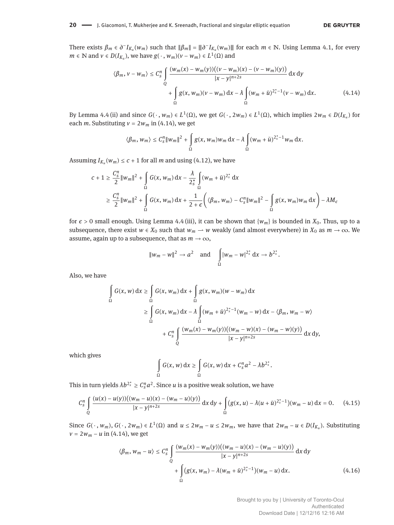There exists  $\beta_m \in \partial^- I_{K_u}(w_m)$  such that  $\|\beta_m\| = \|\partial^- I_{K_u}(w_m)\|$  for each  $m \in \mathbb{N}$ . Using Lemma 4.1, for every  $m \in \mathbb{N}$  and  $v \in D(I_{K_u})$ , we have  $g(\cdot, w_m)(v - w_m) \in L^1(\Omega)$  and

$$
\langle \beta_m, v - w_m \rangle \le C_s^n \int_{Q} \frac{(w_m(x) - w_m(y))((v - w_m)(x) - (v - w_m)(y))}{|x - y|^{n+2s}} dx dy
$$
  
+ 
$$
\int_{\Omega} g(x, w_m)(v - w_m) dx - \lambda \int_{\Omega} (w_m + \bar{u})^{2_s^* - 1} (v - w_m) dx.
$$
 (4.14)

By Lemma 4.4 (ii) and since  $G(\cdot, w_m) \in L^1(\Omega)$ , we get  $G(\cdot, 2w_m) \in L^1(\Omega)$ , which implies  $2w_m \in D(I_{K_u})$  for each *m*. Substituting  $v = 2w_m$  in (4.14), we get

$$
\langle \beta_m, w_m \rangle \leq C_s^n \|w_m\|^2 + \int\limits_{\Omega} g(x, w_m) w_m \, \mathrm{d}x - \lambda \int\limits_{\Omega} (w_m + \bar{u})^{2_s^* - 1} w_m \, \mathrm{d}x.
$$

Assuming  $I_{K_u}(w_m) \leq c + 1$  for all *m* and using (4.12), we have

$$
c + 1 \ge \frac{C_s^n}{2} \|w_m\|^2 + \int_{\Omega} G(x, w_m) dx - \frac{\lambda}{2_s^*} \int_{\Omega} (w_m + \bar{u})^{2_s^*} dx
$$
  

$$
\ge \frac{C_s^n}{2} \|w_m\|^2 + \int_{\Omega} G(x, w_m) dx + \frac{1}{2 + \epsilon} \left( \langle \beta_m, w_m \rangle - C_s^n \|w_m\|^2 - \int_{\Omega} g(x, w_m) w_m dx \right) - \lambda M_{\epsilon}
$$

for  $\epsilon > 0$  small enough. Using Lemma 4.4 (iii), it can be shown that  $\{w_m\}$  is bounded in  $X_0$ . Thus, up to a subsequence, there exist  $w \in X_0$  such that  $w_m \to w$  weakly (and almost everywhere) in  $X_0$  as  $m \to \infty$ . We assume, again up to a subsequence, that as  $m \to \infty$ ,

$$
||w_m - w||^2 \to a^2 \quad \text{and} \quad \int_{\Omega} |w_m - w|^{2_s^*} dx \to b^{2_s^*}.
$$

Also, we have

$$
\int_{\Omega} G(x, w) dx \ge \int_{\Omega} G(x, w_m) dx + \int_{\Omega} g(x, w_m) (w - w_m) dx
$$
  
\n
$$
\ge \int_{\Omega} G(x, w_m) dx - \lambda \int_{\Omega} (w_m + \bar{u})^{2_s^* - 1} (w_m - w) dx - \langle \beta_m, w_m - w \rangle
$$
  
\n
$$
+ C_s^n \int_{\Omega} \frac{(w_m(x) - w_m(y))((w_m - w)(x) - (w_m - w)(y))}{|x - y|^{n+2s}} dx dy,
$$

which gives

$$
\int_{\Omega} G(x, w) dx \ge \int_{\Omega} G(x, w) dx + C_s^n a^2 - \lambda b^{2_s^n}
$$

This in turn yields  $\lambda b^{2^*_s} \geq C_s^n a^2$ . Since *u* is a positive weak solution, we have

$$
C_{s}^{n} \int_{Q} \frac{(u(x) - u(y))((w_{m} - u)(x) - (w_{m} - u)(y))}{|x - y|^{n+2s}} dx dy + \int_{\Omega} (g(x, u) - \lambda (u + \bar{u})^{2_{s}^{*}-1})(w_{m} - u) dx = 0.
$$
 (4.15)

Since  $G(\cdot, w_m)$ ,  $G(\cdot, 2w_m) \in L^1(\Omega)$  and  $u \le 2w_m - u \le 2w_m$ , we have that  $2w_m - u \in D(I_{K_u})$ . Substituting *v* =  $2w_m - u$  in (4.14), we get

$$
\langle \beta_m, w_m - u \rangle \le C_s^n \int_{Q} \frac{(w_m(x) - w_m(y))((w_m - u)(x) - (w_m - u)(y))}{|x - y|^{n+2s}} dx dy + \int_{\Omega} (g(x, w_m) - \lambda (w_m + \bar{u})^{2_s^* - 1})(w_m - u) dx.
$$
 (4.16)

Brought to you by | University of Toronto-Ocul Authenticated Download Date | 12/12/16 12:16 AM

.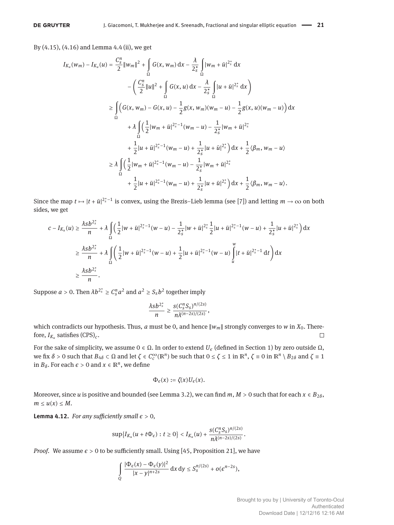By (4.15), (4.16) and Lemma 4.4 (ii), we get

$$
I_{K_{u}}(w_{m}) - I_{K_{u}}(u) = \frac{C_{s}^{n}}{2} ||w_{m}||^{2} + \int_{\Omega} G(x, w_{m}) dx - \frac{\lambda}{2_{s}^{*}} \int_{\Omega} |w_{m} + \bar{u}|^{2_{s}^{*}} dx
$$
  
\n
$$
- \left( \frac{C_{s}^{n}}{2} ||u||^{2} + \int_{\Omega} G(x, u) dx - \frac{\lambda}{2_{s}^{*}} \int_{\Omega} |u + \bar{u}|^{2_{s}^{*}} dx \right)
$$
  
\n
$$
\geq \int_{\Omega} \left( G(x, w_{m}) - G(x, u) - \frac{1}{2} g(x, w_{m}) (w_{m} - u) - \frac{1}{2} g(x, u) (w_{m} - u) \right) dx
$$
  
\n
$$
+ \lambda \int_{\Omega} \left( \frac{1}{2} |w_{m} + \bar{u}|^{2_{s}^{*}-1} (w_{m} - u) - \frac{1}{2_{s}^{*}} |w_{m} + \bar{u}|^{2_{s}^{*}} + \frac{1}{2} |u + \bar{u}|^{2_{s}^{*}-1} (w_{m} - u) + \frac{1}{2_{s}^{*}} |u + \bar{u}|^{2_{s}^{*}} \right) dx + \frac{1}{2} \langle \beta_{m}, w_{m} - u \rangle
$$
  
\n
$$
\geq \lambda \int_{\Omega} \left( \frac{1}{2} |w_{m} + \bar{u}|^{2_{s}^{*}-1} (w_{m} - u) - \frac{1}{2_{s}^{*}} |w_{m} + \bar{u}|^{2_{s}^{*}} + \frac{1}{2} \langle \beta_{m}, w_{m} - u \rangle + \frac{1}{2} |u + \bar{u}|^{2_{s}^{*}-1} (w_{m} - u) + \frac{1}{2_{s}^{*}} |u + \bar{u}|^{2_{s}^{*}} \right) dx + \frac{1}{2} \langle \beta_{m}, w_{m} - u \rangle.
$$

Since the map  $t \mapsto |t + \bar{u}|^{2_s^*-1}$  is convex, using the Brezis–Lieb lemma (see [7]) and letting  $m \to \infty$  on both sides, we get

$$
c - I_{K_u}(u) \ge \frac{\lambda s b^{2s}}{n} + \lambda \int_{\Omega} \left( \frac{1}{2} |w + \bar{u}|^{2s-1} (w - u) - \frac{1}{2s} |w + \bar{u}|^{2s} \frac{1}{2} |u + \bar{u}|^{2s-1} (w - u) + \frac{1}{2s} |u + \bar{u}|^{2s} \right) dx
$$
  

$$
\ge \frac{\lambda s b^{2s}}{n} + \lambda \int_{\Omega} \left( \frac{1}{2} |w + \bar{u}|^{2s-1} (w - u) + \frac{1}{2} |u + \bar{u}|^{2s-1} (w - u) \int_{u}^{w} |t + \bar{u}|^{2s-1} dt \right) dx
$$
  

$$
\ge \frac{\lambda s b^{2s}}{n}.
$$

Suppose  $a > 0$ . Then  $\lambda b^{2_s^*} \geq C_s^n a^2$  and  $a^2 \geq S_s b^2$  together imply

$$
\frac{\lambda s b^{2_s^*}}{n} \geq \frac{s(C_s^n S_s)^{n/(2s)}}{n\lambda^{(n-2s)/(2s)}},
$$

which contradicts our hypothesis. Thus, *a* must be 0, and hence  $\|w_m\|$  strongly converges to *w* in  $X_0$ . Therefore,  $I_{K_u}$  satisfies  $(CPS)_c$ .  $\Box$ 

For the sake of simplicity, we assume  $0 \in \Omega$ . In order to extend  $U_{\varepsilon}$  (defined in Section 1) by zero outside  $\Omega$ , we fix  $\delta > 0$  such that  $B_{4\delta} \subset \Omega$  and let  $\zeta \in C_c^{\infty}(\mathbb{R}^n)$  be such that  $0 \le \zeta \le 1$  in  $\mathbb{R}^n$ ,  $\zeta \equiv 0$  in  $\mathbb{R}^n \setminus B_{2\delta}$  and  $\zeta \equiv 1$ in  $B_\delta$ . For each  $\epsilon > 0$  and  $x \in \mathbb{R}^n$ , we define

$$
\Phi_{\epsilon}(x):=\zeta(x)U_{\epsilon}(x).
$$

Moreover, since *u* is positive and bounded (see Lemma 3.2), we can find  $m$ ,  $M > 0$  such that for each  $x \in B_{2\delta}$ ,  $m \leq u(x) \leq M$ .

**Lemma 4.12.** *For any sufficiently small*  $\epsilon > 0$ *,* 

$$
\sup\big\{I_{K_u}(u+t\Phi_\epsilon): t\geq 0\big\}
$$

*Proof.* We assume  $\epsilon > 0$  to be sufficiently small. Using [45, Proposition 21], we have

$$
\int\limits_{Q} \frac{|\Phi_\epsilon(x)-\Phi_\epsilon(y)|^2}{|x-y|^{n+2s}} \, \mathrm{d} x \, \mathrm{d} y \leq S_s^{n/(2s)} + o(\epsilon^{n-2s}),
$$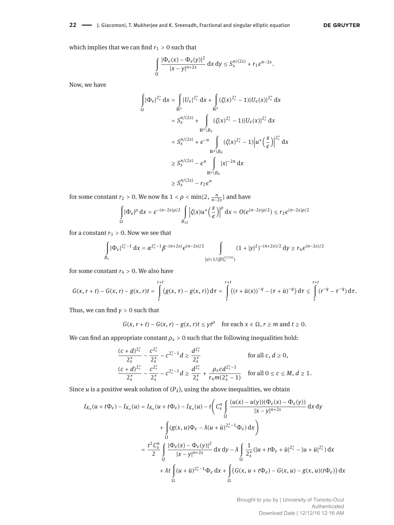#### 22 - J. Giacomoni, T. Mukherjee and K. Sreenadh, Fractional and singular elliptic equation

#### **DE GRUYTER**

which implies that we can find  $r_1 > 0$  such that

$$
\int\limits_{Q} \frac{|\Phi_\epsilon(x)-\Phi_\epsilon(y)|^2}{|x-y|^{n+2s}}\, \mathrm{d}x\, \mathrm{d}y \leq S_s^{n/(2s)}+r_1\varepsilon^{n-2s}.
$$

Now, we have

$$
\int_{\Omega} |\Phi_{\epsilon}|^{2_{s}^{*}} dx = \int_{\mathbb{R}^{n}} |U_{\epsilon}|^{2_{s}^{*}} dx + \int_{\mathbb{R}^{n}} (\zeta(x)^{2_{s}^{*}} - 1)|U_{\epsilon}(x)|^{2_{s}^{*}} dx
$$
  
\n
$$
= S_{s}^{n/(2s)} + \int_{\mathbb{R}^{n} \setminus B_{\delta}} (\zeta(x)^{2_{s}^{*}} - 1)|U_{\epsilon}(x)|^{2_{s}^{*}} dx
$$
  
\n
$$
= S_{s}^{n/(2s)} + \epsilon^{-n} \int_{\mathbb{R}^{n} \setminus B_{\delta}} (\zeta(x)^{2_{s}^{*}} - 1)|u^{*}(\frac{x}{\epsilon})|^{2_{s}^{*}} dx
$$
  
\n
$$
\geq S_{s}^{n/(2s)} - \epsilon^{n} \int_{\mathbb{R}^{n} \setminus B_{\delta}} |x|^{-2n} dx
$$
  
\n
$$
\geq S_{s}^{n/(2s)} - r_{2} \epsilon^{n}
$$

for some constant  $r_2 > 0$ . We now fix  $1 < \rho < \min\{2, \frac{n}{n-2s}\}\$  and have

$$
\int_{\Omega} |\Phi_{\epsilon}|^{\rho} dx = \epsilon^{-(n-2s)\rho/2} \int_{B_{2\delta}} \left| \zeta(x) u^* \left( \frac{x}{\epsilon} \right) \right|^{\rho} dx = O(\epsilon^{(n-2s)\rho/2}) \le r_3 \epsilon^{(n-2s)\rho/2}
$$

for a constant  $r_3 > 0$ . Now we see that

$$
\int\limits_{B_{\epsilon}} |\Phi_{\epsilon}|^{2_s^* - 1} \, \mathrm{d}x = \alpha^{2_s^* - 1} \beta^{-(n + 2s)} \epsilon^{(n - 2s)/2} \int\limits_{|y| < 1/(\beta S_s^{1/(2s)})} (1 + |y|^2)^{-(n + 2s)/2} \, \mathrm{d}y \ge r_4 \epsilon^{(n - 2s)/2}
$$

for some constant  $r_4 > 0$ . We also have

$$
G(x,r+t)-G(x,r)-g(x,r)t=\int\limits_{r}^{r+t}\big(g(x,\tau)-g(x,r)\big)\,d\tau=\int\limits_{r}^{r+t}\big((r+\bar{u}(x))^{-q}-(\tau+\bar{u})^{-q}\big)\,d\tau\leq\int\limits_{r}^{r+t}(r^{-q}-\tau^{-q})\,d\tau.
$$

Thus, we can find  $y > 0$  such that

 $G(x, r + t) - G(x, r) - g(x, r)t \leq \gamma t^{\rho}$  for each  $x \in \Omega, r \geq m$  and  $t \geq 0$ .

We can find an appropriate constant  $\rho_s > 0$  such that the following inequalities hold:

$$
\frac{(c+d)^{2_s^*}}{2_s^*} - \frac{c^{2_s^*}}{2_s^*} - c^{2_s^*-1}d \ge \frac{d^{2_s^*}}{2_s^*} \qquad \text{for all } c, d \ge 0,
$$
  

$$
\frac{(c+d)^{2_s^*}}{2_s^*} - \frac{c^{2_s^*}}{2_s^*} - c^{2_s^*-1}d \ge \frac{d^{2_s^*}}{2_s^*} + \frac{\rho_s c d^{2_s^*-1}}{r_4 m (2_s^*-1)} \qquad \text{for all } 0 \le c \le M, d \ge 1.
$$

Since  $u$  is a positive weak solution of  $(P_\lambda)$ , using the above inequalities, we obtain

$$
I_{K_u}(u+t\Phi_{\epsilon}) - I_{K_u}(u) = I_{K_u}(u+t\Phi_{\epsilon}) - I_{K_u}(u) - t\left(C_s^n \int\limits_{Q} \frac{(u(x) - u(y))(\Phi_{\epsilon}(x) - \Phi_{\epsilon}(y))}{|x - y|^{n+2s}} dx dy + \int\limits_{\Omega} (g(x, u)\Phi_{\epsilon} - \lambda(u+\bar{u})^{2_s^{\ast} - 1}\Phi_{\epsilon}) dx\right)
$$
  

$$
= \frac{t^2 C_s^n}{2} \int\limits_{Q} \frac{|\Phi_{\epsilon}(x) - \Phi_{\epsilon}(y)|^2}{|x - y|^{n+2s}} dx dy - \lambda \int\limits_{\Omega} \frac{1}{2_s^{\ast}} (|u + t\Phi_{\epsilon} + \bar{u}|^{2_s^{\ast}} - |u + \bar{u}|^{2_s^{\ast}}) dx + \lambda t \int\limits_{\Omega} (u + \bar{u})^{2_s^{\ast} - 1}\Phi_{\epsilon} dx + \int\limits_{\Omega} (G(x, u + t\Phi_{\epsilon}) - G(x, u) - g(x, u)(t\Phi_{\epsilon})) dx
$$

Brought to you by | University of Toronto-Ocul Authenticated Download Date | 12/12/16 12:16 AM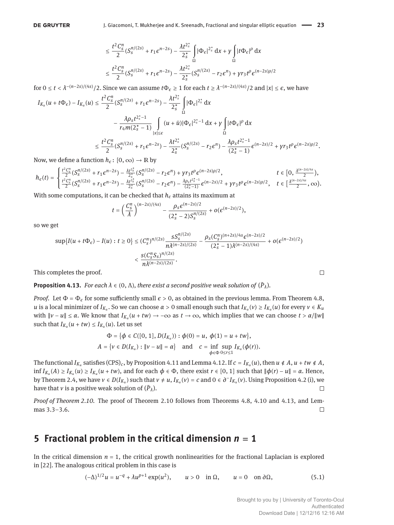$$
\leq \frac{t^2 C_s^n}{2} (S_s^{n/(2s)} + r_1 \epsilon^{n-2s}) - \frac{\lambda t^{2_s^*}}{2_s^*} \int_{\Omega} |\Phi_{\epsilon}|^{2_s^*} dx + \gamma \int_{\Omega} |t \Phi_{\epsilon}|^{\rho} dx
$$
  

$$
\leq \frac{t^2 C_s^n}{2} (S_s^{n/(2s)} + r_1 \epsilon^{n-2s}) - \frac{\lambda t^{2_s^*}}{2_s^*} (S_s^{n/(2s)} - r_2 \epsilon^n) + \gamma r_3 t^{\rho} \epsilon^{(n-2s)\rho/2}
$$

for  $0 \le t < \lambda^{-(n-2s)/(4s)}/2$ . Since we can assume  $t\Phi_{\epsilon} \ge 1$  for each  $t \ge \lambda^{-(n-2s)/(4s)}/2$  and  $|x| \le \epsilon$ , we have

$$
I_{K_{u}}(u+t\Phi_{\epsilon})-I_{K_{u}}(u) \leq \frac{t^{2}C_{s}^{n}}{2}(S_{s}^{n/(2s)}+r_{1}\epsilon^{n-2s})-\frac{\lambda t^{2_{s}^{\ast}}}{2_{s}^{\ast}}\int_{\Omega}|\Phi_{\epsilon}|^{2_{s}^{\ast}}dx
$$
  
 
$$
-\frac{\lambda\rho_{s}t^{2_{s}^{\ast}-1}}{r_{4}m(2_{s}^{\ast}-1)}\int_{|x|\leq\epsilon}(u+\bar{u})|\Phi_{\epsilon}|^{2_{s}^{\ast}-1}dx+\gamma\int_{\Omega}|t\Phi_{\epsilon}|^{\rho}dx
$$
  
 
$$
\leq \frac{t^{2}C_{s}^{n}}{2}(S_{s}^{n/(2s)}+r_{1}\epsilon^{n-2s})-\frac{\lambda t^{2_{s}^{\ast}}}{2_{s}^{\ast}}(S_{s}^{n/(2s)}-r_{2}\epsilon^{n})-\frac{\lambda\rho_{s}t^{2_{s}^{\ast}-1}}{(2_{s}^{\ast}-1)}\epsilon^{(n-2s)/2}+\gamma r_{3}t^{\rho}\epsilon^{(n-2s)\rho/2}.
$$

Now, we define a function  $h_{\epsilon}$ :  $[0, \infty) \rightarrow \mathbb{R}$  by

$$
h_\varepsilon(t)=\begin{cases} \frac{t^2C_s^n}{2}(S_s^{n/(2s)}+r_1\varepsilon^{n-2s})-\frac{\lambda t^{2_s^*}}{2_s^*}(S_s^{n/(2s)}-r_2\varepsilon^n)+\gamma r_3 t^\rho \varepsilon^{(n-2s)\rho/2}, & t\in[0,\frac{\lambda^{(n-2s)/4s}}{2}),\\ \frac{t^2C_s^n}{2}(S_s^{n/(2s)}+r_1\varepsilon^{n-2s})-\frac{\lambda t^{2_s^*}}{2_s^*}(S_s^{n/(2s)}-r_2\varepsilon^n)-\frac{\lambda\rho_s t^{2_s^*-1}}{(2_s^*-1)}\varepsilon^{(n-2s)/2}+\gamma r_3 t^\rho \varepsilon^{(n-2s)\rho/2}, & t\in[\frac{\lambda^{(n-2s)/4s}}{2},\infty). \end{cases}
$$

With some computations, it can be checked that  $h_\epsilon$  attains its maximum at

$$
t = \left(\frac{C_s^n}{\lambda}\right)^{(n-2s)/(4s)} - \frac{\rho_s \epsilon^{(n-2s)/2}}{(2_s^* - 2)S_s^{n/(2s)}} + o(\epsilon^{(n-2s)/2}),
$$

so we get

$$
\sup\{I(u+t\Phi_{\epsilon})-I(u): t\geq 0\} \leq (C_{s}^{n})^{n/(2s)} \frac{sS_{s}^{n/(2s)}}{n\lambda^{(n-2s)/(2s)}} - \frac{\rho_{s}(C_{s}^{n})^{(n+2s)/4s}\epsilon^{(n-2s)/2}}{(2_{s}^{*}-1)\lambda^{(n-2s)/(4s)}} + o(\epsilon^{(n-2s)/2})
$$

$$
< \frac{s(C_{s}^{n}S_{s})^{n/(2s)}}{n\lambda^{(n-2s)/(2s)}}.
$$

This completes the proof.

**Proposition 4.13.** *For each*  $\lambda \in (0, \Lambda)$ *, there exist a second positive weak solution of*  $(\bar{P}_{\lambda})$ *.* 

*Proof.* Let  $\Phi = \Phi_{\epsilon}$  for some sufficiently small  $\epsilon > 0$ , as obtained in the previous lemma. From Theorem 4.8,  $u$  is a local minimizer of  $I_{K_u}$ . So we can choose  $α > 0$  small enough such that  $I_{K_u}(ν) ≥ I_{K_u}(u)$  for every  $ν ∈ K_u$  $w$  *w*ith  $\|v - u\|$  ≤ *α*. We know that  $I_{K_u}(u + tw) \to -\infty$  as  $t \to \infty$ , which implies that we can choose  $t > α/||w||$ such that  $I_{K_u}(u + tw) \leq I_{K_u}(u)$ . Let us set

$$
\Phi = \{ \phi \in C([0, 1], D(I_{K_u})) : \phi(0) = u, \phi(1) = u + tw \},\newline A = \{ v \in D(I_{K_u}) : ||v - u|| = \alpha \} \text{ and } c = \inf_{\phi \in \Phi} \sup_{0 \le r \le 1} I_{K_u}(\phi(r)).
$$

The functional  $I_{K_u}$  satisfies (CPS)<sub>c</sub>, by Proposition 4.11 and Lemma 4.12. If  $c = I_{K_u}(u)$ , then  $u \notin A$ ,  $u + tw \notin A$ ,  $\inf I_{K_u}(A) \ge I_{K_u}(u) \ge I_{K_u}(u+tw)$ , and for each  $\phi \in \Phi$ , there exist  $r \in [0,1]$  such that  $\|\phi(r) - u\| = \alpha$ . Hence, by Theorem 2.4, we have  $v \in D(I_{K_u})$  such that  $v \neq u$ ,  $I_{K_u}(v) = c$  and  $0 \in \partial^- I_{K_u}(v)$ . Using Proposition 4.2 (i), we have that  $\nu$  is a positive weak solution of  $(\bar{P}_\lambda).$  $\Box$ 

*Proof of Theorem 2.10.* The proof of Theorem 2.10 follows from Theorems 4.8, 4.10 and 4.13, and Lemmas  $3.3 - 3.6$ .  $\Box$ 

# **5** Fractional problem in the critical dimension  $n = 1$

In the critical dimension  $n = 1$ , the critical growth nonlinearities for the fractional Laplacian is explored in [22]. The analogous critical problem in this case is

 $(u - \Delta)^{1/2}u = u^{-q} + \lambda u^{p+1} \exp(u^2), \quad u > 0 \text{ in } \Omega, \quad u = 0 \text{ on } \partial\Omega,$  (5.1)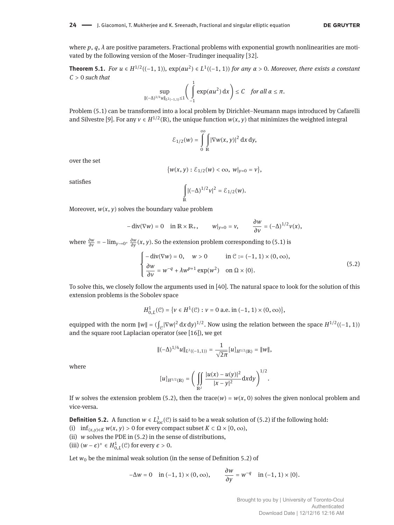where  $p$ ,  $q$ ,  $\lambda$  are positive parameters. Fractional problems with exponential growth nonlinearities are motivated by the following version of the Moser-Trudinger inequality [32].

**Theorem 5.1.** *For*  $u \in H^{1/2}((-1, 1))$ ,  $\exp(\alpha u^2) \in L^1((-1, 1))$  *for any*  $\alpha > 0$ *. Moreover, there exists a constant C* > 0 *such that*

$$
\sup_{\|(-\Delta)^{1/4}u\|_{L^2(-1,1)}\leq 1}\left(\int\limits_{-1}^1\exp(\alpha u^2)\,dx\right)\leq C\quad\text{for all }\alpha\leq\pi.
$$

Problem (5.1) can be transformed into a local problem by Dirichlet-Neumann maps introduced by Cafarelli and Silvestre [9]. For any  $v \in H^{1/2}(\mathbb{R})$ , the unique function  $w(x, y)$  that minimizes the weighted integral

$$
\mathcal{E}_{1/2}(w) = \int\limits_0^\infty \int\limits_{\mathbb{R}} |\nabla w(x, y)|^2 \, \mathrm{d}x \, \mathrm{d}y,
$$

over the set

$$
\{w(x,y): \mathcal{E}_{1/2}(w) < \infty, \; w|_{y=0} = v\},\;
$$

satisfies

$$
\int_{\mathbb{R}} |(-\Delta)^{1/2} v|^2 = \mathcal{E}_{1/2}(w).
$$

Moreover,  $w(x, y)$  solves the boundary value problem

$$
-\operatorname{div}(\nabla w) = 0 \quad \text{in } \mathbb{R} \times \mathbb{R}_+, \qquad w|_{y=0} = v, \qquad \frac{\partial w}{\partial v} = (-\Delta)^{1/2} v(x),
$$

where  $\frac{\partial w}{\partial v} = -\lim_{y \to 0^+} \frac{\partial w}{\partial y}(x, y)$ . So the extension problem corresponding to (5.1) is

$$
\begin{cases}\n-\text{div}(\nabla w) = 0, & w > 0 \quad \text{in } \mathcal{C} := (-1, 1) \times (0, \infty), \\
\frac{\partial w}{\partial v} = w^{-q} + \lambda w^{p+1} \exp(w^2) & \text{on } \Omega \times \{0\}.\n\end{cases}
$$
\n(5.2)

To solve this, we closely follow the arguments used in [40]. The natural space to look for the solution of this extension problems is the Sobolev space

$$
H_{0,L}^1(\mathcal{C}) = \{ v \in H^1(\mathcal{C}) : v = 0 \text{ a.e. in } (-1, 1) \times (0, \infty) \},
$$

equipped with the norm  $||w|| = (\int_{\mathcal{C}} |\nabla w|^2 dx dy)^{1/2}$ . Now using the relation between the space  $H^{1/2}((-1, 1))$ and the square root Laplacian operator (see [16]), we get

$$
\|(-\Delta)^{1/4}u\|_{L^2((-1,1))}=\frac{1}{\sqrt{2\pi}}[u]_{H^{1/2}(\mathbb{R})}=\|w\|,
$$

where

$$
[u]_{H^{1/2}(\mathbb{R})} = \bigg( \iint_{\mathbb{R}^2} \frac{|u(x) - u(y)|^2}{|x - y|^2} dxdy \bigg)^{1/2}.
$$

If *w* solves the extension problem (5.2), then the trace( $w$ ) =  $w(x, 0)$  solves the given nonlocal problem and vice-versa.

**Definition 5.2.** A function  $w \in L^1_{loc}(\mathcal{C})$  is said to be a weak solution of (5.2) if the following hold:

- (i)  $\inf_{(x,y)\in K} w(x,y) > 0$  for every compact subset  $K \subset \Omega \times [0,\infty)$ ,
- (ii) *w* solves the PDE in (5.2) in the sense of distributions,

(iii)  $(w - \epsilon)^+ \in H^1_{0,L}(\mathcal{C})$  for every  $\epsilon > 0$ .

Let  $w_0$  be the minimal weak solution (in the sense of Definition 5.2) of

$$
-\Delta w = 0 \quad \text{in } (-1, 1) \times (0, \infty), \qquad \frac{\partial w}{\partial y} = w^{-q} \quad \text{in } (-1, 1) \times \{0\}.
$$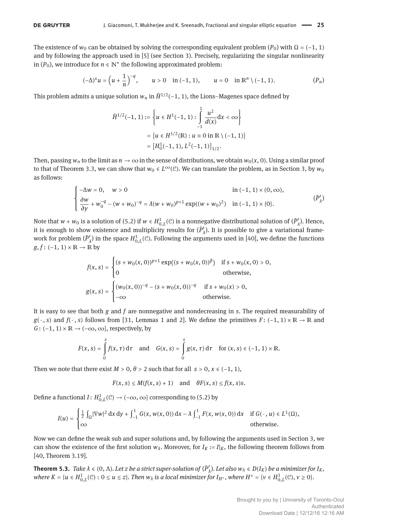The existence of  $w_0$  can be obtained by solving the corresponding equivalent problem  $(P_0)$  with  $\Omega = (-1, 1)$ and by following the approach used in [5] (see Section 3). Precisely, regularizing the singular nonlinearity in  $(P_0)$ , we introduce for  $n \in \mathbb{N}^*$  the following approximated problem:

$$
(-\Delta)^s u = \left(u + \frac{1}{n}\right)^{-q}, \qquad u > 0 \quad \text{in (-1, 1)}, \qquad u = 0 \quad \text{in } \mathbb{R}^n \setminus (-1, 1). \tag{P_n}
$$

This problem admits a unique solution  $w_n$  in  $\tilde{H}^{1/2}(-1, 1)$ , the Lions–Magenes space defined by

$$
\tilde{H}^{1/2}(-1, 1) := \left\{ u \in H^1(-1, 1) : \int_{-1}^{1} \frac{u^2}{d(x)} dx < \infty \right\}
$$

$$
= \left\{ u \in H^{1/2}(\mathbb{R}) : u \equiv 0 \text{ in } \mathbb{R} \setminus (-1, 1) \right\}
$$

$$
= \left[ H_0^1(-1, 1), L^2(-1, 1) \right]_{1/2}.
$$

Then, passing  $w_n$  to the limit as  $n \to \infty$  in the sense of distributions, we obtain  $w_0(x, 0)$ . Using a similar proof to that of Theorem 3.3, we can show that  $w_0 \in L^{\infty}(\mathcal{C})$ . We can translate the problem, as in Section 3, by  $w_0$ as follows:

$$
\begin{cases}\n-\Delta w = 0, & w > 0 \\
\frac{\partial w}{\partial y} + w_0^{-q} - (w + w_0)^{-q} = \lambda (w + w_0)^{p+1} \exp((w + w_0)^2) & \text{in } (-1, 1) \times \{0\}.\n\end{cases} \tag{P'_\lambda}
$$

Note that  $w + w_0$  is a solution of (5.2) if  $w \in H^1_{0,L}(\mathcal{C})$  is a nonnegative distributional solution of  $(\bar{P}'_\lambda)$ . Hence, it is enough to show existence and multiplicity results for  $(\bar{P}'_{\lambda})$ . It is possible to give a variational framework for problem  $(\bar{P}_\lambda')$  in the space  $H^1_{0,L}(\mathcal{C})$ . Following the arguments used in [40], we define the functions  $g, f: (-1, 1) \times \mathbb{R} \to \mathbb{R}$  by

$$
f(x, s) = \begin{cases} (s + w_0(x, 0))^{p+1} \exp((s + w_0(x, 0))^{\beta}) & \text{if } s + w_0(x, 0) > 0, \\ 0 & \text{otherwise,} \end{cases}
$$
  

$$
g(x, s) = \begin{cases} (w_0(x, 0))^{-q} - (s + w_0(x, 0))^{-q} & \text{if } s + w_0(x) > 0, \\ -\infty & \text{otherwise.} \end{cases}
$$

It is easy to see that both *g* and *f* are nonnegative and nondecreasing in *s*. The required measurability of *g*( ⋅, *s*) and *f*( ⋅, *s*) follows from [31, Lemmas 1 and 2]. We define the primitives *F* : (−1, 1) × ℝ → ℝ and  $G: (-1, 1) \times \mathbb{R} \rightarrow (-\infty, \infty]$ , respectively, by

$$
F(x, s) = \int_{0}^{s} f(x, \tau) d\tau \text{ and } G(x, s) = \int_{0}^{s} g(x, \tau) d\tau \text{ for } (x, s) \in (-1, 1) \times \mathbb{R}.
$$

Then we note that there exist  $M > 0$ ,  $\theta > 2$  such that for all  $s > 0$ ,  $x \in (-1, 1)$ ,

$$
F(x, s) \le M(f(x, s) + 1) \quad \text{and} \quad \theta F(x, s) \le f(x, s)s.
$$

Define a functional  $I: H^1_{0,L}(\mathcal{C}) \to (-\infty, \infty]$  corresponding to (5.2) by

$$
I(u) = \begin{cases} \frac{1}{2} \int_{\Omega} |\nabla w|^2 \, \mathrm{d}x \, \mathrm{d}y + \int_{-1}^1 G(x, w(x, 0)) \, \mathrm{d}x - \lambda \int_{-1}^1 F(x, w(x, 0)) \, \mathrm{d}x & \text{if } G(\cdot, u) \in L^1(\Omega), \\ \infty & \text{otherwise.} \end{cases}
$$

Now we can define the weak sub and super solutions and, by following the arguments used in Section 3, we can show the existence of the first solution  $w_\lambda$ . Moreover, for  $I_K := I|_K$ , the following theorem follows from [40, Theorem 3.19].

**Theorem 5.3.** Take  $\lambda \in (0, \Lambda)$ . Let z be a strict super-solution of  $(\bar{P}'_\lambda)$ . Let also  $w_\lambda \in D(I_K)$  be a minimizer for  $I_K$ , where  $K = \{u \in H_{0,L}^1(\mathcal{C}) : 0 \le u \le z\}$ . Then  $w_\lambda$  is a local minimizer for  $I_{H^+}$ , where  $H^+ = \{v \in H_{0,L}^1(\mathcal{C}), v \ge 0\}$ .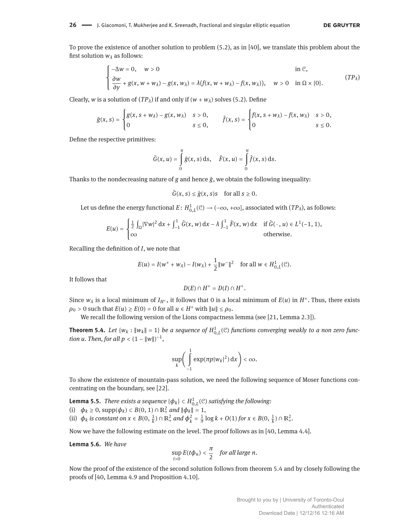To prove the existence of another solution to problem (5.2), as in [40], we translate this problem about the first solution  $w_{\lambda}$  as follows:

$$
\begin{cases}\n-\Delta w = 0, & w > 0 \\
\frac{\partial w}{\partial y} + g(x, w + w_{\lambda}) - g(x, w_{\lambda}) = \lambda (f(x, w + w_{\lambda}) - f(x, w_{\lambda})), & w > 0 \quad \text{in } \Omega \times \{0\}.\n\end{cases}
$$
\n
$$
(TP_{\lambda})
$$

Clearly, *w* is a solution of  $(TP_\lambda)$  if and only if  $(w + w_\lambda)$  solves (5.2). Define

$$
\tilde{g}(x, s) = \begin{cases} g(x, s + w_{\lambda}) - g(x, w_{\lambda}) & s > 0, \\ 0 & s \le 0, \end{cases} \qquad \tilde{f}(x, s) = \begin{cases} f(x, s + w_{\lambda}) - f(x, w_{\lambda}) & s > 0, \\ 0 & s \le 0. \end{cases}
$$

Deőne the respective primitives:

$$
\tilde{G}(x, u) = \int\limits_0^u \tilde{g}(x, s) \, \mathrm{d}s, \quad \tilde{F}(x, u) = \int\limits_0^u \tilde{f}(x, s) \, \mathrm{d}s.
$$

Thanks to the nondecreasing nature of *g* and hence *g*̃, we obtain the following inequality:

$$
\tilde{G}(x, s) \le \tilde{g}(x, s)s \quad \text{for all } s \ge 0.
$$

Let us define the energy functional  $E\colon H^1_{0,L}(\mathcal{C})\to (-\infty,+\infty]$ , associated with  $(TP_\lambda)$ , as follows:

$$
E(u) = \begin{cases} \frac{1}{2} \int_{\Omega} |\nabla w|^2 dx + \int_{-1}^1 \tilde{G}(x, w) dx - \lambda \int_{-1}^1 \tilde{F}(x, w) dx & \text{if } \tilde{G}(\cdot, u) \in L^1(-1, 1), \\ \infty & \text{otherwise.} \end{cases}
$$

Recalling the deőnition of *I*, we note that

$$
E(u) = I(w^+ + w_\lambda) - I(w_\lambda) + \frac{1}{2} ||w^-||^2 \quad \text{for all } w \in H_{0,L}^1(\mathcal{C}).
$$

It follows that

$$
D(E)\cap H^+=D(I)\cap H^+.
$$

Since  $w_\lambda$  is a local minimum of  $I_{H^+}$ , it follows that 0 is a local minimum of  $E(u)$  in  $H^+$ . Thus, there exists  $\rho_0 > 0$  such that  $E(u) \ge E(0) = 0$  for all  $u \in H^+$  with  $||u|| \le \rho_0$ .

We recall the following version of the Lions compactness lemma (see [21, Lemma 2.3]).

**Theorem 5.4.** Let  $\{w_k : ||w_k|| = 1\}$  be a sequence of  $H^1_{0,L}(\mathcal{C})$  functions converging weakly to a non zero func*tion u. Then, for all*  $p < (1 - ||w||)^{-1}$ ,

$$
\sup_k \left( \int\limits_{-1}^1 \exp(\pi p|w_k|^2) \, \mathrm{d} x \right) < \infty.
$$

To show the existence of mountain-pass solution, we need the following sequence of Moser functions concentrating on the boundary, see [22].

**Lemma 5.5.** *There exists a sequence*  $\{\phi_k\} \subset H^1_{0,L}(\mathcal{C})$  *satisfying the following:* (i)  $\phi_k \ge 0$ , supp $(\phi_k) \subset B(0, 1) \cap \mathbb{R}^2_+$  *and*  $\|\phi_k\| = 1$ , (ii)  $\phi_k$  *is constant on*  $x \in B(0, \frac{1}{k}) \cap \mathbb{R}^2_+$  *and*  $\phi_k^2 = \frac{1}{\pi} \log k + O(1)$  *for*  $x \in B(0, \frac{1}{k}) \cap \mathbb{R}^2_+$ *.* 

Now we have the following estimate on the level. The proof follows as in [40, Lemma 4.4].

**Lemma 5.6.** *We have*

$$
\sup_{t>0} E(t\phi_n) < \frac{\pi}{2} \quad \text{for all large } n.
$$

Now the proof of the existence of the second solution follows from theorem 5.4 and by closely following the proofs of [40, Lemma 4.9 and Proposition 4.10].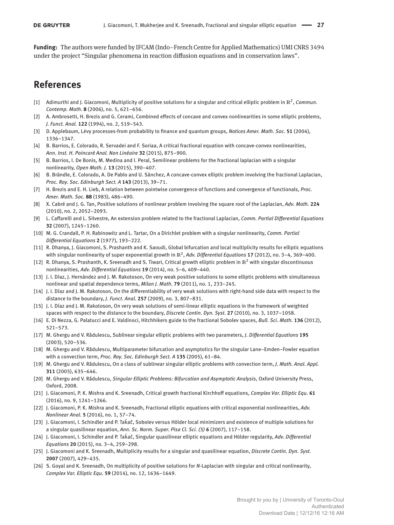**Funding:** The authors were funded by IFCAM (Indo–French Centre for Applied Mathematics) UMI CNRS 3494 under the project "Singular phenomena in reaction diffusion equations and in conservation laws".

# **References**

- [1] Adimurthi and J. Giacomoni, Multiplicity of positive solutions for a singular and critical elliptic problem in ℝ<sup>2</sup>, *Commun*. *Contemp. Math.* **8** (2006), no. 5, 621-656.
- [2] A. Ambrosetti, H. Brezis and G. Cerami, Combined effects of concave and convex nonlinearities in some elliptic problems, *J. Funct. Anal.* 122 (1994), no. 2, 519-543.
- [3] D. Applebaum, L*e*́vy processes-from probability to őnance and quantum groups, *Notices Amer. Math. Soc.* **51** (2004), 1336-1347.
- [4] B. Barrios, E. Colorado, R. Servadei and F. Soriaa, A critical fractional equation with concave-convex nonlinearities, *Ann. Inst. H. Poincaré Anal. Non Linéaire* **32** (2015), 875-900.
- [5] B. Barrios, I. De Bonis, M. Medina and I. Peral, Semilinear problems for the fractional laplacian with a singular nonlinearity, Open Math. J. 13 (2015), 390-407.
- [6] B. Brändle, E. Colorado, A. De Pablo and U. Sànchez, A concave-convex elliptic problem involving the fractional Laplacian, *Proc. Roy. Soc. Edinburgh Sect. A* **143** (2013), 39-71.
- [7] H. Brezis and E. H. Lieb, A relation between pointwise convergence of functions and convergence of functionals, *Proc. Amer. Math. Soc.* 88 (1983), 486-490.
- [8] X. Cabré and J. G. Tan, Positive solutions of nonlinear problem involving the square root of the Laplacian, *Adv. Math.* **224**  $(2010)$ , no. 2, 2052-2093.
- [9] L. Caffarelli and L. Silvestre, An extension problem related to the fractional Laplacian, *Comm. Partial Differential Equations* **32** (2007), 1245-1260.
- [10] M. G. Crandall, P. H. Rabinowitz and L. Tartar, On a Dirichlet problem with a singular nonlinearity, *Comm. Partial Differential Equations* **2** (1977), 193-222.
- [11] R. Dhanya, J. Giacomoni, S. Prashanth and K. Saoudi, Global bifurcation and local multiplicity results for elliptic equations with singular nonlinearity of super exponential growth in ℝ<sup>2</sup>, Adv. Differential Equations **17** (2012), no. 3–4, 369–400.
- [12] R. Dhanya, S. Prashanth, K. Sreenadh and S. Tiwari, Critical growth elliptic problem in  $\mathbb{R}^2$  with singular discontinuous nonlinearities, Adv. Differential Equations 19 (2014), no. 5-6, 409-440.
- [13] J. I. Díaz, J. Hernández and J. M. Rakotoson, On very weak positive solutions to some elliptic problems with simultaneous nonlinear and spatial dependence terms, *Milan J. Math.* **79** (2011), no. 1, 233–245.
- [14] J. I. Díaz and J. M. Rakotoson, On the differentiability of very weak solutions with right-hand side data with respect to the distance to the boundary, *J. Funct. Anal.* **257** (2009), no. 3, 807-831.
- [15] J. I. Díaz and J. M. Rakotoson, On very weak solutions of semi-linear elliptic equations in the framework of weighted spaces with respect to the distance to the boundary, *Discrete Contin. Dyn. Syst.* 27 (2010), no. 3, 1037-1058.
- [16] E. Di Nezza, G. Palatucci and E. Valdinoci, Hitchhikers guide to the fractional Sobolev spaces, *Bull. Sci. Math.* **136** (2012),  $521 - 573.$
- [17] M. Ghergu and V. Rădulescu, Sublinear singular elliptic problems with two parameters, *J. Differential Equations* **195**  $(2003)$ , 520-536.
- [18] M. Ghergu and V. Rădulescu, Multiparameter bifurcation and asymptotics for the singular Lane-Emden-Fowler equation with a convection term, Proc. Roy. Soc. Edinburgh Sect. A 135 (2005), 61-84.
- [19] M. Ghergu and V. Rădulescu, On a class of sublinear singular elliptic problems with convection term, *J. Math. Anal. Appl.* 311 (2005), 635-646.
- [20] M. Ghergu and V. Rădulescu, *Singular Elliptic Problems: Bifurcation and Asymptotic Analysis*, Oxford University Press, Oxford, 2008.
- [21] J. Giacomoni, P. K. Mishra and K. Sreenadh, Critical growth fractional Kirchhoff equations, *Complex Var. Elliptic Equ.* **61**  $(2016)$ , no. 9, 1241-1266.
- [22] J. Giacomoni, P. K. Mishra and K. Sreenadh, Fractional elliptic equations with critical exponential nonlinearities, *Adv. Nonlinear Anal.* **5** (2016), no. 1, 57-74.
- [23] J. Giacomoni, I. Schindler and P. Takaĉ, Sobolev versus Hölder local minimizers and existence of multiple solutions for a singular quasilinear equation, *Ann. Sc. Norm. Super. Pisa Cl. Sci.* (5) **6** (2007), 117–158.
- [24] J. Giacomoni, I. Schindler and P. Takaĉ, Singular quasilinear elliptic equations and Hölder regularity, Adv. Differential *Equations* 20 (2015), no. 3-4, 259-298.
- [25] J. Giacomoni and K. Sreenadh, Multiplicity results for a singular and quasilinear equation, *Discrete Contin. Dyn. Syst.* **2007** (2007), 429-435.
- [26] S. Goyal and K. Sreenadh, On multiplicity of positive solutions for *N*-Laplacian with singular and critical nonlinearity, *Complex Var. Elliptic Equ.* **59** (2014), no. 12, 1636-1649.